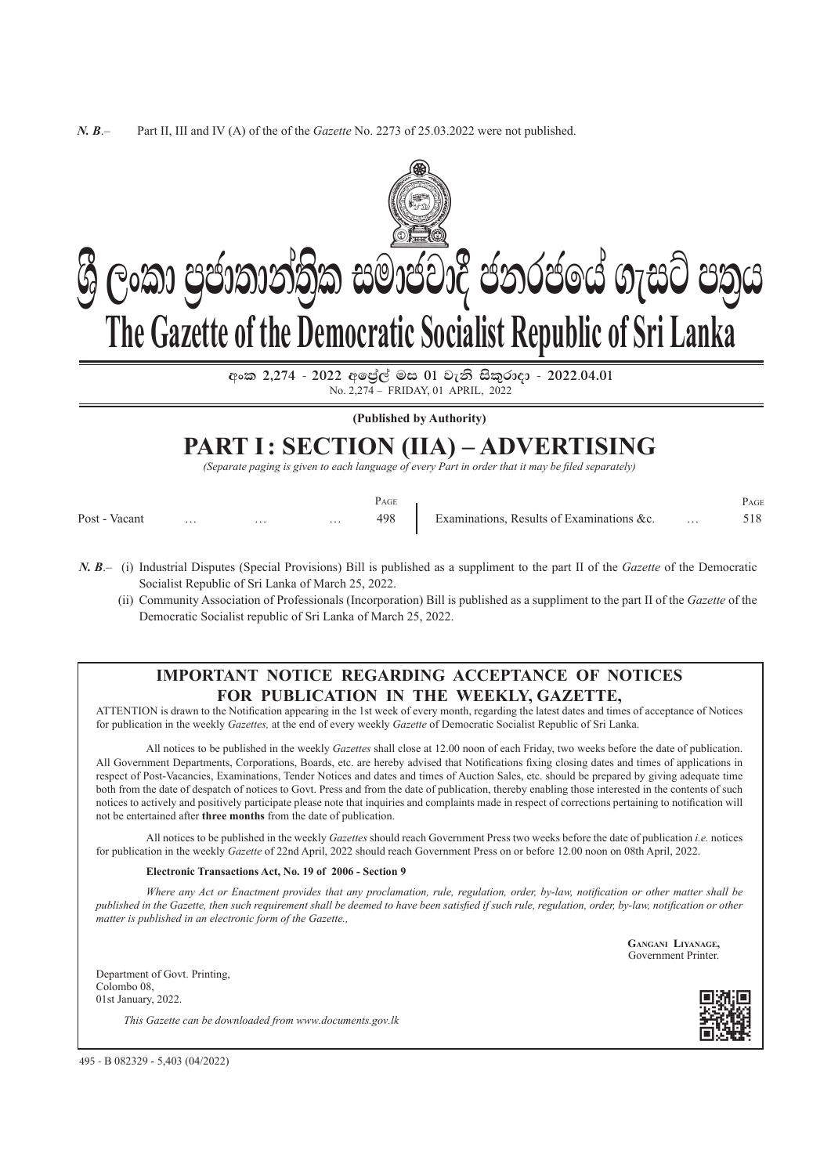

 $\cos 2.274 - 2022$  අලේල් මස 01 වැනි සිකුරාදා - 2022.04.01 No. 2,274 – FriDAY, 01 april, 2022

**(Published by Authority)**

# **PART I: SECTION (IIA) – Advertising**

*(Separate paging is given to each language of every Part in order that it may be filed separately)*

|               |          |          |          | PAGE |                                           | PAGE |
|---------------|----------|----------|----------|------|-------------------------------------------|------|
| Post - Vacant | $\cdots$ | $\cdots$ | $\cdots$ | 498  | Examinations, Results of Examinations &c. | 518  |

- *N. B*.– (i) Industrial Disputes (Special Provisions) Bill is published as a suppliment to the part II of the *Gazette* of the Democratic Socialist Republic of Sri Lanka of March 25, 2022.
	- (ii) Community Association of Professionals (Incorporation) Bill is published as a suppliment to the part II of the *Gazette* of the Democratic Socialist republic of Sri Lanka of March 25, 2022.

## **Important Notice Regarding Acceptance of Notices For Publication in the Weekly, Gazette,**

ATTENTION is drawn to the Notification appearing in the 1st week of every month, regarding the latest dates and times of acceptance of Notices for publication in the weekly *Gazettes,* at the end of every weekly *Gazette* of Democratic Socialist Republic of Sri Lanka.

All notices to be published in the weekly *Gazettes* shall close at 12.00 noon of each Friday, two weeks before the date of publication. All Government Departments, corporations, Boards, etc. are hereby advised that Notifications fixing closing dates and times of applications in respect of Post-Vacancies, Examinations, Tender Notices and dates and times of Auction Sales, etc. should be prepared by giving adequate time both from the date of despatch of notices to Govt. Press and from the date of publication, thereby enabling those interested in the contents of such notices to actively and positively participate please note that inquiries and complaints made in respect of corrections pertaining to notification will not be entertained after **three months** from the date of publication.

All notices to be published in the weekly *Gazettes* should reach Government Press two weeks before the date of publication *i.e.* notices for publication in the weekly *Gazette* of 22nd April, 2022 should reach Government Press on or before 12.00 noon on 08th April, 2022.

#### **Electronic Transactions Act, No. 19 of 2006 - Section 9**

*Where any Act or enactment provides that any proclamation, rule, regulation, order, by-law, notification or other matter shall be published in the Gazette, then such requirement shall be deemed to have been satisfied if such rule, regulation, order, by-law, notification or other matter is published in an electronic form of the Gazette.,*

> **Gangani Liyanage,** Government Printer.

Department of Govt. Printing, Colombo 08, 01st January, 2022.

*This Gazette can be downloaded from www.documents.gov.lk*



495 - B 082329 - 5,403 (04/2022)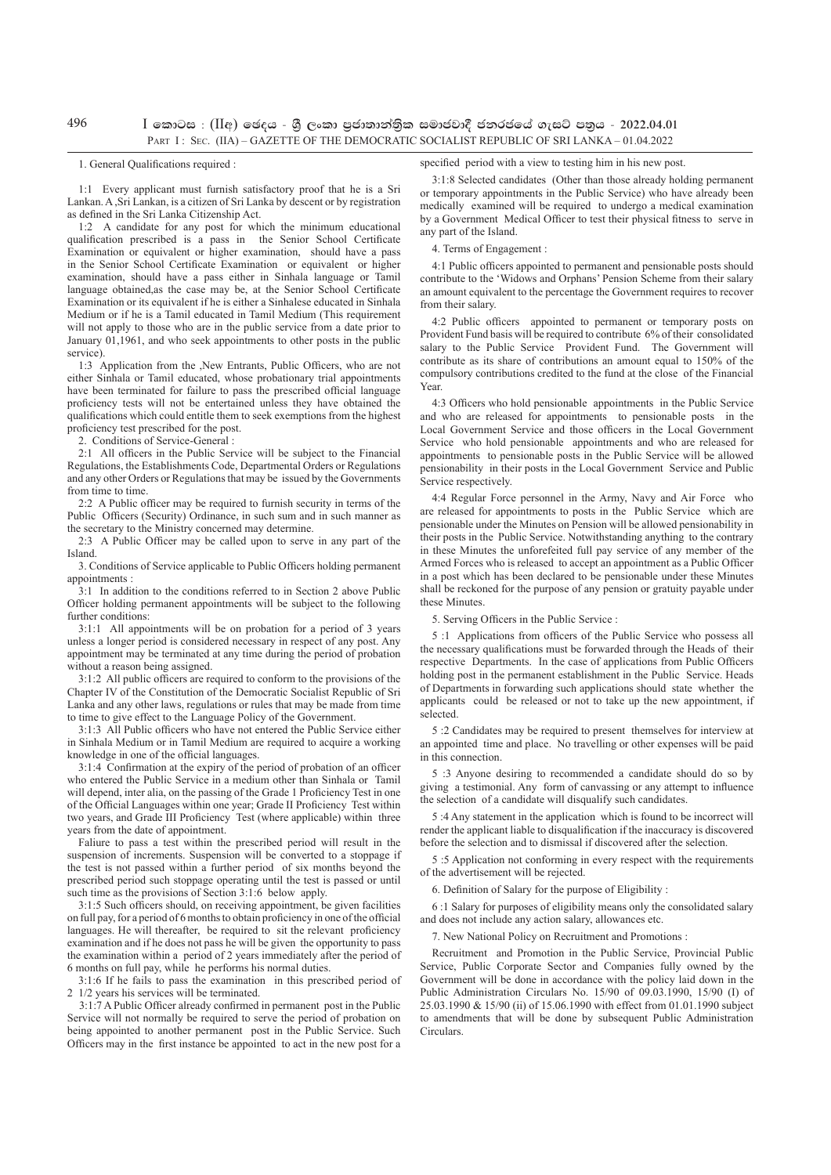496

#### $I$  කොටස : (IIඅ) ඡෙදය - ශී ලංකා පුජාතාන්තික සමාජවාදී ජනරජයේ ගැසට් පතුය - 2022.04.01 PART I: SEC. (IIA) – GAZETTE OF THE DEMOCRATIC SOCIALIST REPUBLIC OF SRI LANKA – 01.04.2022

#### 1. General Qualifications required :

1:1 Every applicant must furnish satisfactory proof that he is a Sri Lankan. A ,Sri Lankan, is a citizen of Sri Lanka by descent or by registration as defined in the Sri Lanka Citizenship Act.

1:2 A candidate for any post for which the minimum educational qualification prescribed is a pass in the Senior School Certificate Examination or equivalent or higher examination, should have a pass in the Senior School Certificate Examination or equivalent or higher examination, should have a pass either in Sinhala language or Tamil language obtained,as the case may be, at the Senior School Certificate Examination or its equivalent if he is either a Sinhalese educated in Sinhala Medium or if he is a Tamil educated in Tamil Medium (This requirement will not apply to those who are in the public service from a date prior to January 01,1961, and who seek appointments to other posts in the public service).

1:3 Application from the ,New Entrants, Public Officers, who are not either Sinhala or Tamil educated, whose probationary trial appointments have been terminated for failure to pass the prescribed official language proficiency tests will not be entertained unless they have obtained the qualifications which could entitle them to seek exemptions from the highest proficiency test prescribed for the post.

2. Conditions of Service-General :

2:1 All officers in the Public Service will be subject to the Financial Regulations, the Establishments Code, Departmental Orders or Regulations and any other Orders or Regulations that may be issued by the Governments from time to time.

2:2 A Public officer may be required to furnish security in terms of the Public Officers (Security) Ordinance, in such sum and in such manner as the secretary to the Ministry concerned may determine.

2:3 A Public Officer may be called upon to serve in any part of the Island.

3. Conditions of Service applicable to Public Officers holding permanent appointments

3:1 In addition to the conditions referred to in Section 2 above Public Officer holding permanent appointments will be subject to the following further conditions:

3:1:1 All appointments will be on probation for a period of 3 years unless a longer period is considered necessary in respect of any post. Any appointment may be terminated at any time during the period of probation without a reason being assigned.

3:1:2 All public officers are required to conform to the provisions of the Chapter IV of the Constitution of the Democratic Socialist Republic of Sri Lanka and any other laws, regulations or rules that may be made from time to time to give effect to the Language Policy of the Government.

3:1:3 All Public officers who have not entered the Public Service either in Sinhala Medium or in Tamil Medium are required to acquire a working knowledge in one of the official languages.

3:1:4 Confirmation at the expiry of the period of probation of an officer who entered the Public Service in a medium other than Sinhala or Tamil will depend, inter alia, on the passing of the Grade 1 Proficiency Test in one of the Official Languages within one year; Grade II Proficiency Test within two years, and Grade III Proficiency Test (where applicable) within three years from the date of appointment.

Faliure to pass a test within the prescribed period will result in the suspension of increments. Suspension will be converted to a stoppage if the test is not passed within a further period of six months beyond the prescribed period such stoppage operating until the test is passed or until such time as the provisions of Section 3:1:6 below apply.

3:1:5 Such officers should, on receiving appointment, be given facilities on full pay, for a period of 6 months to obtain proficiency in one of the official languages. He will thereafter, be required to sit the relevant proficiency examination and if he does not pass he will be given the opportunity to pass the examination within a period of 2 years immediately after the period of 6 months on full pay, while he performs his normal duties.

3:1:6 If he fails to pass the examination in this prescribed period of 2 1/2 years his services will be terminated.

3:1:7 A Public Officer already confirmed in permanent post in the Public Service will not normally be required to serve the period of probation on being appointed to another permanent post in the Public Service. Such Officers may in the first instance be appointed to act in the new post for a

3:1:8 Selected candidates (Other than those already holding permanent or temporary appointments in the Public Service) who have already been medically examined will be required to undergo a medical examination by a Government Medical Officer to test their physical fitness to serve in any part of the Island.

4. Terms of Engagement :

4:1 Public officers appointed to permanent and pensionable posts should contribute to the 'Widows and Orphans' Pension Scheme from their salary an amount equivalent to the percentage the Government requires to recover from their salary.

4:2 Public officers appointed to permanent or temporary posts on Provident Fund basis will be required to contribute 6% of their consolidated salary to the Public Service Provident Fund. The Government will contribute as its share of contributions an amount equal to 150% of the compulsory contributions credited to the fund at the close of the Financial Year.

4:3 Officers who hold pensionable appointments in the Public Service and who are released for appointments to pensionable posts in the Local Government Service and those officers in the Local Government Service who hold pensionable appointments and who are released for appointments to pensionable posts in the Public Service will be allowed pensionability in their posts in the Local Government Service and Public Service respectively.

4:4 Regular Force personnel in the Army, Navy and Air Force who are released for appointments to posts in the Public Service which are pensionable under the Minutes on Pension will be allowed pensionability in their posts in the Public Service. Notwithstanding anything to the contrary in these Minutes the unforefeited full pay service of any member of the Armed Forces who is released to accept an appointment as a Public Officer in a post which has been declared to be pensionable under these Minutes shall be reckoned for the purpose of any pension or gratuity payable under these Minutes

5. Serving Officers in the Public Service :

5 :1 Applications from officers of the Public Service who possess all the necessary qualifications must be forwarded through the Heads of their respective Departments. In the case of applications from Public Officers holding post in the permanent establishment in the Public Service. Heads of Departments in forwarding such applications should state whether the applicants could be released or not to take up the new appointment, if selected.

5 :2 Candidates may be required to present themselves for interview at an appointed time and place. No travelling or other expenses will be paid in this connection.

5 :3 Anyone desiring to recommended a candidate should do so by giving a testimonial. Any form of canvassing or any attempt to influence the selection of a candidate will disqualify such candidates.

5 :4 Any statement in the application which is found to be incorrect will render the applicant liable to disqualification if the inaccuracy is discovered before the selection and to dismissal if discovered after the selection.

5 :5 Application not conforming in every respect with the requirements of the advertisement will be rejected.

6. Definition of Salary for the purpose of Eligibility :

6 :1 Salary for purposes of eligibility means only the consolidated salary and does not include any action salary, allowances etc.

7. New National Policy on Recruitment and Promotions :

Recruitment and Promotion in the Public Service, Provincial Public Service, Public Corporate Sector and Companies fully owned by the Government will be done in accordance with the policy laid down in the Public Administration Circulars No. 15/90 of 09.03.1990, 15/90 (I) of 25.03.1990 & 15/90 (ii) of 15.06.1990 with effect from 01.01.1990 subject to amendments that will be done by subsequent Public Administration Circulars.

## specified period with a view to testing him in his new post.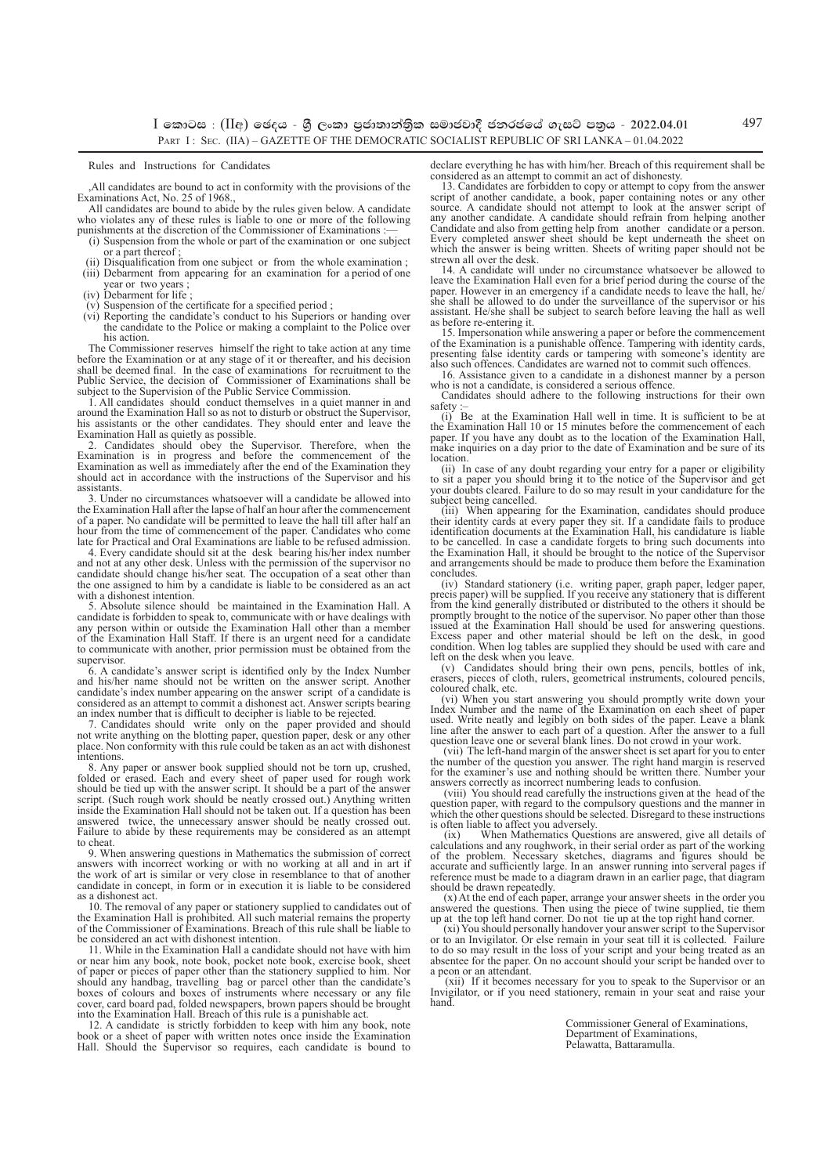$I$  කොටස : (IIඅ) ඡෙදය - ශී ලංකා පුජාතාන්තික සමාජවාදී ජනරජයේ ගැසට් පතුය - 2022.04.01 PART I: SEC. (IIA) – GAZETTE OF THE DEMOCRATIC SOCIALIST REPUBLIC OF SRI LANKA – 01.04.2022

Rules and Instructions for Candidates

,All candidates are bound to act in conformity with the provisions of the Examinations Act, No. 25 of 1968., All candidates are bound to abide by the rules given below. A candidate

who violates any of these rules is liable to one or more of the following punishments at the discretion of the Commissioner of Examinations

- (i) Suspension from the whole or part of the examination or one subject or a part thereof ;
- Disqualification from one subject or from the whole examination ; (iii) Debarment from appearing for an examination for a period of one
- year or two years ;<br>(iv) Debarment for life ;
- 
- (v) Suspension of the certificate for a specified period ; (vi) Reporting the candidate's conduct to his Superiors or handing over the candidate to the Police or making a complaint to the Police over his action.

The Commissioner reserves himself the right to take action at any time before the Examination or at any stage of it or thereafter, and his decision shall be deemed final. In the case of examinations for recruitment to the Public Service, the decision of Commissioner of Examinations shall be subject to the Supervision of the Public Service Commission.

1. All candidates should conduct themselves in a quiet manner in and around the Examination Hall so as not to disturb or obstruct the Supervisor, his assistants or the other candidates. They should enter and leave the

Examination Hall as quietly as possible.<br>2. Candidates should obey the Supervisor. Therefore, when the<br>Examination is in progress and before the commencement of the<br>Examination as well as immediately after the end of the E should act in accordance with the instructions of the Supervisor and his assistants.

3. Under no circumstances whatsoever will a candidate be allowed into the Examination Hall after the lapse of half an hour after the commencement of a paper. No candidate will be permitted to leave the hall till after half an hour from the time of commencement of the paper. Candidates who come late for Practical and Oral Examinations are liable to be refused admission.

4. Every candidate should sit at the desk bearing his/her index number and not at any other desk. Unless with the permission of the supervisor no candidate should change his/her seat. The occupation of a seat other than the one assigned to him by a candidate is liable to be considered as an act with a dishonest intention.

5. Absolute silence should be maintained in the Examination Hall. A candidate is forbidden to speak to, communicate with or have dealings with any person within or outside the Examination Hall other than a member of the Examination Hall Staff. If there is an urgent need for a candidate to communicate with another, prior permission must be obtained from the supervisor.

6. A candidate's answer script is identified only by the Index Number and his/her name should not be written on the answer script. Another candidate's index number appearing on the answer script of a candidate is considered as an attempt to commit a dishonest act. Answer scripts bearing an index number that is difficult to decipher is liable to be rejected.

7. Candidates should write only on the paper provided and should not write anything on the blotting paper, question paper, desk or any other place. Non conformity with this rule could be taken as an act with dishonest intentions.

8. Any paper or answer book supplied should not be torn up, crushed, folded or erased. Each and every sheet of paper used for rough work should be tied up with the answer script. It should be a part of the answer<br>script. (Such rough work should be neatly crossed out.) Anything written<br>inside the Examination Hall should not be taken out. If a question has be answered twice, the unnecessary answer should be neatly crossed out. Failure to abide by these requirements may be considered as an attempt to cheat

9. When answering questions in Mathematics the submission of correct answers with incorrect working or with no working at all and in art if the work of art is similar or very close in resemblance to that of another candidate in concept, in form or in execution it is liable to be considered as a dishonest act.

10. The removal of any paper or stationery supplied to candidates out of the Examination Hall is prohibited. All such material remains the property of the Commissioner of Examinations. Breach of this rule shall be liable to be considered an act with dishonest intention.

11. While in the Examination Hall a candidate should not have with him or near him any book, note book, pocket note book, exercise book, sheet of paper or pieces of paper other than the stationery supplied to him. Nor should any handbag, travelling bag or parcel other than the candidate's boxes of colours and boxes of instruments where necessary or any file cover, card board pad, folded newspapers, brown papers should be brought into the Examination Hall. Breach of this rule is a punishable act.

12. A candidate is strictly forbidden to keep with him any book, note book or a sheet of paper with written notes once inside the Examination Hall. Should the Supervisor so requires, each candidate is bound to declare everything he has with him/her. Breach of this requirement shall be considered as an attempt to commit an act of dishonesty.

13. Candidates are forbidden to copy or attempt to copy from the answer script of another candidate, a book, paper containing notes or any other source. A candidate should not attempt to look at the answer script of any another candidate. A candidate should refrain from helping another Candidate and also from getting help from another candidate or a person. Every completed answer sheet should be kept underneath the sheet on which the answer is being written. Sheets of writing paper should not be

strewn all over the desk. 14. A candidate will under no circumstance whatsoever be allowed to leave the Examination Hall even for a brief period during the course of the paper. However in an emergency if a candidate needs to leave the hall, he/<br>she shall be allowed to do under the surveillance of the supervisor or assistant. He/she shall be subject to search before leaving the hall as well as before re-entering it.

15. Impersonation while answering a paper or before the commencement of the Examination is a punishable offence. Tampering with identity cards, presenting false identity cards or tampering with someone's identity are also such offences. Candidates are warned not to commit such offences.

16. Assistance given to a candidate in a dishonest manner by a person who is not a candidate, is considered a serious offence

Candidates should adhere to the following instructions for their own safety

(i) Be at the Examination Hall well in time. It is sufficient to be at the Examination Hall 10 or 15 minutes before the commencement of each paper. If you have any doubt as to the location of the Examination Hall, make inquiries on a day prior to the date of Examination and be sure of its location.

(ii) In case of any doubt regarding your entry for a paper or eligibility<br>to sit a paper you should bring it to the notice of the Supervisor and get<br>your doubts cleared. Failure to do so may result in your candidature for subject being cancelled.

(iii) When appearing for the Examination, candidates should produce their identity cards at every paper they sit. If a candidate fails to produce identification documents at the Examination Hall, his candidature is liable to be cancelled. In case a candidate forgets to bring such documents into the Examination Hall, it should be brought to the notice of the Supervisor and arrangements should be made to produce them before the Examination concludes.

(iv) Standard stationery (i.e. writing paper, graph paper, ledger paper, precis paper) will be supplied. If you receive any stationery that is different from the kind generally distributed or distributed to the others it should be promptly brought to the notice of the supervisor. No paper other than those issued at the Examination Hall should be used for answering questions. Excess paper and other material should be left on the desk, in good condition. When log tables are supplied they should be used with care and left on the desk when you leave.

(v) Candidates should bring their own pens, pencils, bottles of ink, erasers, pieces of cloth, rulers, geometrical instruments, coloured pencils, coloured chalk, etc.

(vi) When you start answering you should promptly write down your Index Number and the name of the Examination on each sheet of paper used. Write neatly and legibly on both sides of the paper. Leave a blank line after the answer to each part of a question. After the answer to a full question leave one or several blank lines. Do not crowd in your work.

 (vii) The left-hand margin of the answer sheet is set apart for you to enter the number of the question you answer. The right hand margin is reserved for the examiner's use and nothing should be written there. Number your answers correctly as incorrect numbering leads to confusion.

 (viii) You should read carefully the instructions given at the head of the question paper, with regard to the compulsory questions and the manner in which the other questions should be selected. Disregard to these instructions

is often liable to affect you adversely. (ix) When Mathematics Questions are answered, give all details of calculations and any roughwork, in their serial order as part of the working of the problem. Necessary sketches, diagrams and figures should be accurate and sufficiently large. In an answer running into serveral pages if reference must be made to a diagram drawn in an earlier page, that diagram should be drawn repeatedly.

(x) At the end of each paper, arrange your answer sheets in the order you answered the questions. Then using the piece of twine supplied, tie them

up at the top left hand corner. Do not tie up at the top right hand corner.<br>(xi) You should personally handover your answer script to the Supervisor<br>or to an Invigilator. Or else remain in your seat till it is collected. F to do so may result in the loss of your script and your being treated as an absentee for the paper. On no account should your script be handed over to a peon or an attendant.

 (xii) If it becomes necessary for you to speak to the Supervisor or an Invigilator, or if you need stationery, remain in your seat and raise your hand.

> Commissioner General of Examinations, Department of Examinations, Pelawatta, Battaramulla.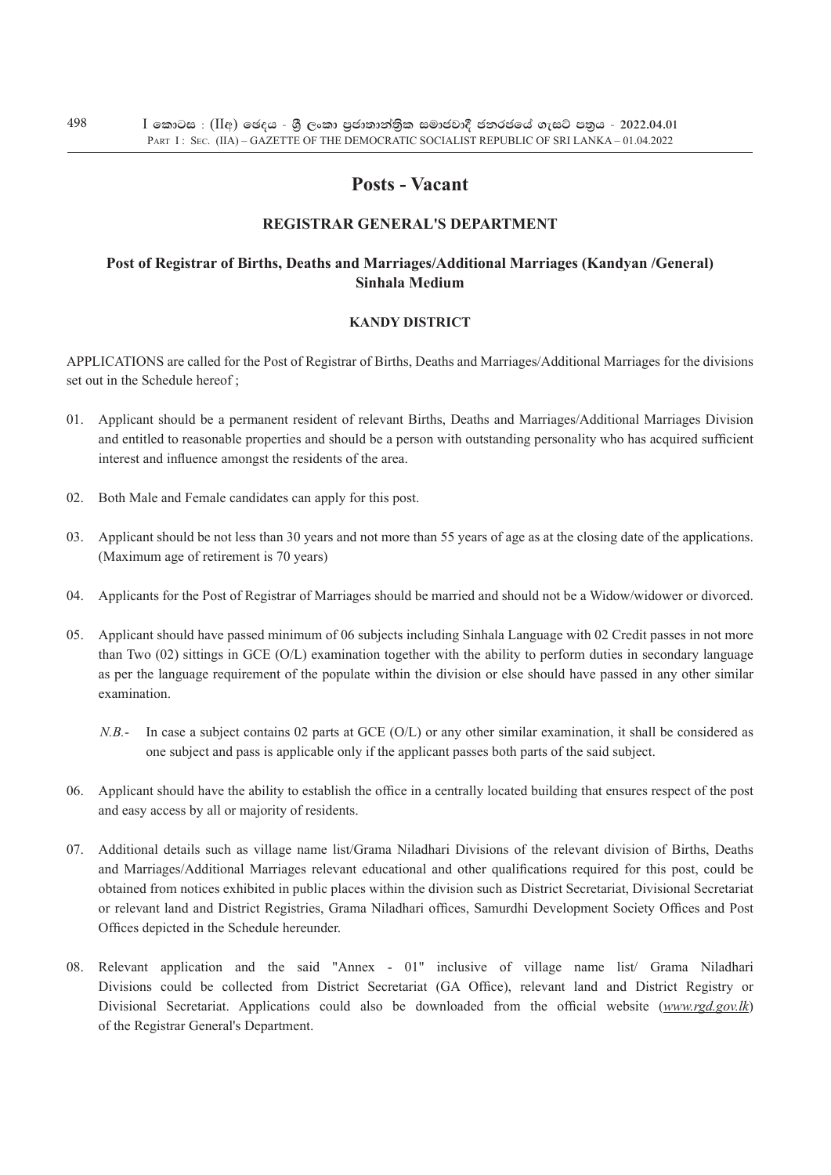## **Posts - Vacant**

## **REgistrar General's Department**

## **Post of Registrar of Births, Deaths and Marriages/Additional Marriages (Kandyan /General) Sinhala Medium**

## **kandy District**

Applications are called for the Post of Registrar of Births, Deaths and Marriages/Additional Marriages for the divisions set out in the Schedule hereof :

- 01. Applicant should be a permanent resident of relevant Births, Deaths and Marriages/Additional Marriages Division and entitled to reasonable properties and should be a person with outstanding personality who has acquired sufficient interest and influence amongst the residents of the area.
- 02. Both Male and Female candidates can apply for this post.
- 03. Applicant should be not less than 30 years and not more than 55 years of age as at the closing date of the applications. (Maximum age of retirement is 70 years)
- 04. Applicants for the Post of Registrar of Marriages should be married and should not be a Widow/widower or divorced.
- 05. Applicant should have passed minimum of 06 subjects including Sinhala Language with 02 Credit passes in not more than Two (02) sittings in GCE (O/L) examination together with the ability to perform duties in secondary language as per the language requirement of the populate within the division or else should have passed in any other similar examination.
	- *N.B.* In case a subject contains 02 parts at GCE (O/L) or any other similar examination, it shall be considered as one subject and pass is applicable only if the applicant passes both parts of the said subject.
- 06. Applicant should have the ability to establish the office in a centrally located building that ensures respect of the post and easy access by all or majority of residents.
- 07. Additional details such as village name list/Grama Niladhari Divisions of the relevant division of Births, Deaths and Marriages/Additional Marriages relevant educational and other qualifications required for this post, could be obtained from notices exhibited in public places within the division such as District Secretariat, Divisional Secretariat or relevant land and District Registries, Grama Niladhari offices, Samurdhi Development Society Offices and Post Offices depicted in the Schedule hereunder.
- 08. Relevant application and the said "Annex 01" inclusive of village name list/ Grama Niladhari Divisions could be collected from District Secretariat (GA Office), relevant land and District Registry or Divisional Secretariat. Applications could also be downloaded from the official website (*www.rgd.gov.lk*) of the Registrar General's Department.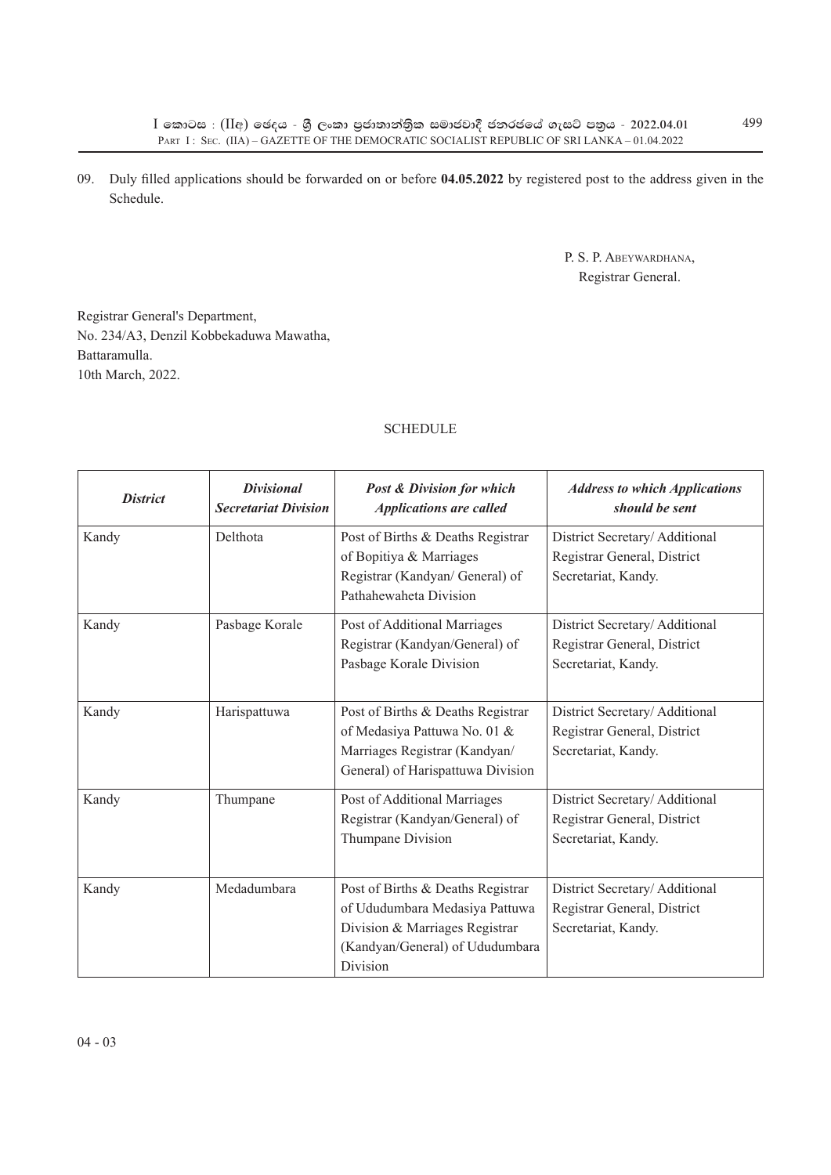09. Duly filled applications should be forwarded on or before **04.05.2022** by registered post to the address given in the Schedule.

> P. S. P. Abeywardhana, Registrar General.

Registrar General's Department, No. 234/A3, Denzil Kobbekaduwa Mawatha, Battaramulla. 10th March, 2022.

## **SCHEDULE**

| <b>District</b> | <b>Divisional</b><br><b>Secretariat Division</b> | <b>Post &amp; Division for which</b><br><b>Applications are called</b>                                                                               | <b>Address to which Applications</b><br>should be sent                              |
|-----------------|--------------------------------------------------|------------------------------------------------------------------------------------------------------------------------------------------------------|-------------------------------------------------------------------------------------|
| Kandy           | Delthota                                         | Post of Births & Deaths Registrar<br>of Bopitiya & Marriages<br>Registrar (Kandyan/ General) of<br>Pathahewaheta Division                            | District Secretary/Additional<br>Registrar General, District<br>Secretariat, Kandy. |
| Kandy           | Pasbage Korale                                   | Post of Additional Marriages<br>Registrar (Kandyan/General) of<br>Pasbage Korale Division                                                            | District Secretary/Additional<br>Registrar General, District<br>Secretariat, Kandy. |
| Kandy           | Harispattuwa                                     | Post of Births & Deaths Registrar<br>of Medasiya Pattuwa No. 01 &<br>Marriages Registrar (Kandyan/<br>General) of Harispattuwa Division              | District Secretary/Additional<br>Registrar General, District<br>Secretariat, Kandy. |
| Kandy           | Thumpane                                         | Post of Additional Marriages<br>Registrar (Kandyan/General) of<br>Thumpane Division                                                                  | District Secretary/Additional<br>Registrar General, District<br>Secretariat, Kandy. |
| Kandy           | Medadumbara                                      | Post of Births & Deaths Registrar<br>of Ududumbara Medasiya Pattuwa<br>Division & Marriages Registrar<br>(Kandyan/General) of Ududumbara<br>Division | District Secretary/Additional<br>Registrar General, District<br>Secretariat, Kandy. |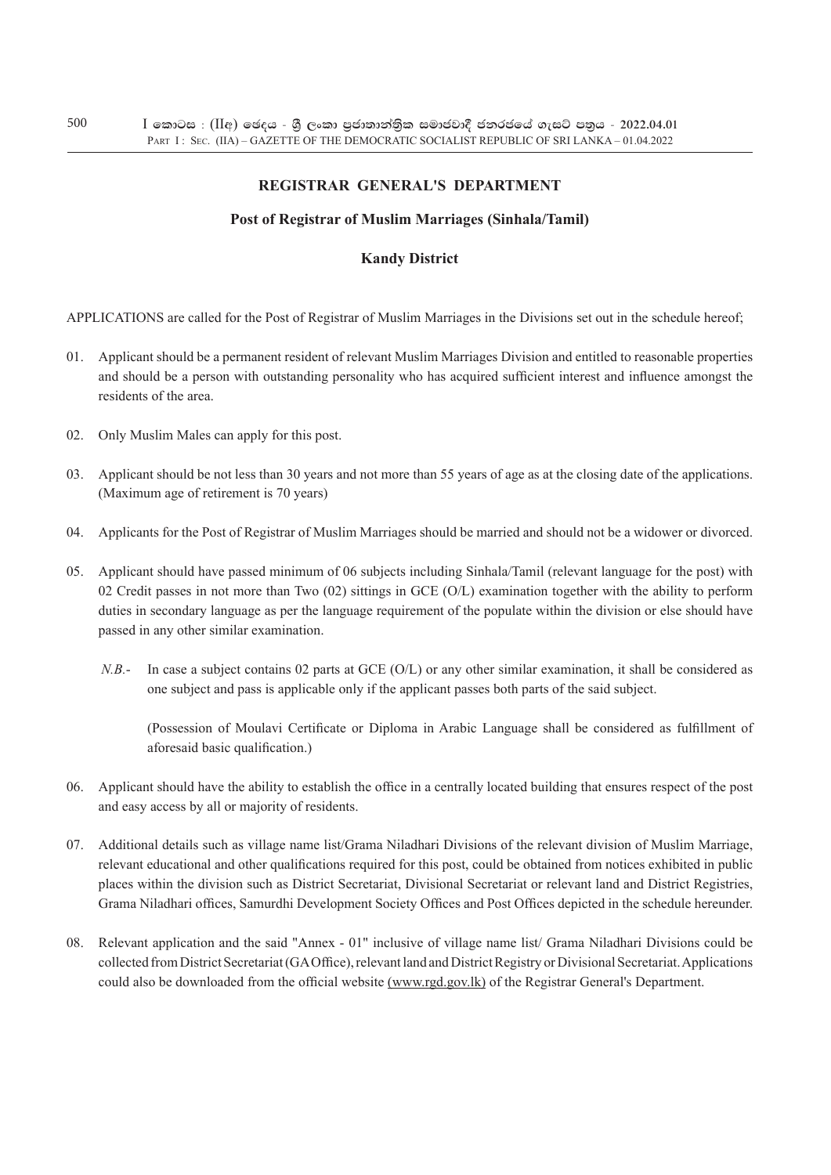## **REgistrar General's Department**

## **Post of Registrar of Muslim Marriages (Sinhala/Tamil)**

## **Kandy District**

APPLICATIONS are called for the Post of Registrar of Muslim Marriages in the Divisions set out in the schedule hereof;

- 01. Applicant should be a permanent resident of relevant Muslim Marriages Division and entitled to reasonable properties and should be a person with outstanding personality who has acquired sufficient interest and influence amongst the residents of the area.
- 02. Only Muslim Males can apply for this post.
- 03. Applicant should be not less than 30 years and not more than 55 years of age as at the closing date of the applications. (Maximum age of retirement is 70 years)
- 04. Applicants for the Post of Registrar of Muslim Marriages should be married and should not be a widower or divorced.
- 05. Applicant should have passed minimum of 06 subjects including Sinhala/Tamil (relevant language for the post) with 02 Credit passes in not more than Two  $(02)$  sittings in GCE  $(O/L)$  examination together with the ability to perform duties in secondary language as per the language requirement of the populate within the division or else should have passed in any other similar examination.
	- *N.B.* In case a subject contains 02 parts at GCE (O/L) or any other similar examination, it shall be considered as one subject and pass is applicable only if the applicant passes both parts of the said subject.

(Possession of Moulavi Certificate or Diploma in Arabic Language shall be considered as fulfillment of aforesaid basic qualification.)

- 06. Applicant should have the ability to establish the office in a centrally located building that ensures respect of the post and easy access by all or majority of residents.
- 07. Additional details such as village name list/Grama Niladhari Divisions of the relevant division of Muslim Marriage, relevant educational and other qualifications required for this post, could be obtained from notices exhibited in public places within the division such as District Secretariat, Divisional Secretariat or relevant land and District Registries, Grama Niladhari offices, Samurdhi Development Society Offices and Post Offices depicted in the schedule hereunder.
- 08. Relevant application and the said "Annex 01" inclusive of village name list/ Grama Niladhari Divisions could be collected from District Secretariat (GA Office), relevant land and District Registry or Divisional Secretariat. Applications could also be downloaded from the official website (www.rgd.gov.lk) of the Registrar General's Department.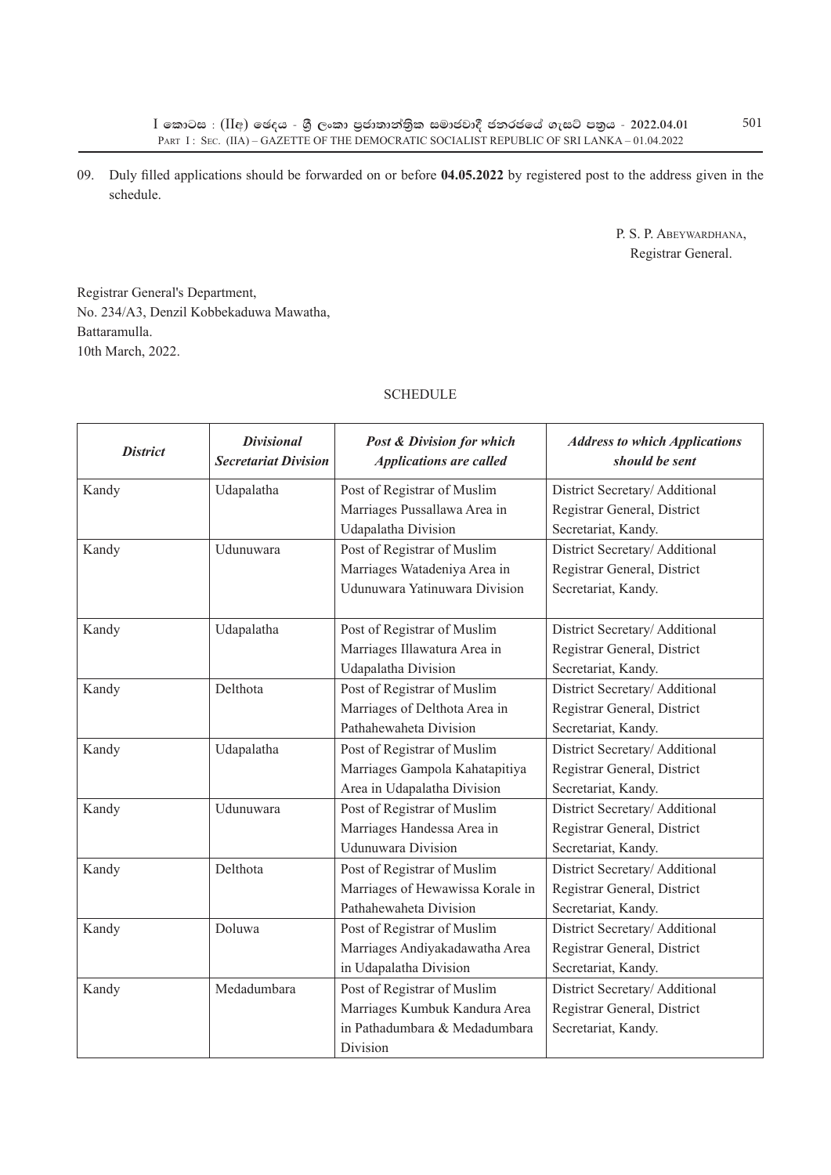09. Duly filled applications should be forwarded on or before **04.05.2022** by registered post to the address given in the schedule.

> P. S. P. Abeywardhana, Registrar General.

Registrar General's Department, No. 234/A3, Denzil Kobbekaduwa Mawatha, Battaramulla. 10th March, 2022.

## **SCHEDULE**

| <i>District</i> | <b>Divisional</b><br><b>Secretariat Division</b> | <b>Post &amp; Division for which</b><br><b>Applications are called</b> | <b>Address to which Applications</b><br>should be sent |
|-----------------|--------------------------------------------------|------------------------------------------------------------------------|--------------------------------------------------------|
| Kandy           | Udapalatha                                       | Post of Registrar of Muslim                                            | District Secretary/Additional                          |
|                 |                                                  | Marriages Pussallawa Area in                                           | Registrar General, District                            |
|                 |                                                  | Udapalatha Division                                                    | Secretariat, Kandy.                                    |
| Kandy           | Udunuwara                                        | Post of Registrar of Muslim                                            | District Secretary/Additional                          |
|                 |                                                  | Marriages Watadeniya Area in                                           | Registrar General, District                            |
|                 |                                                  | Udunuwara Yatinuwara Division                                          | Secretariat, Kandy.                                    |
| Kandy           | Udapalatha                                       | Post of Registrar of Muslim                                            | District Secretary/Additional                          |
|                 |                                                  | Marriages Illawatura Area in                                           | Registrar General, District                            |
|                 |                                                  | Udapalatha Division                                                    | Secretariat, Kandy.                                    |
| Kandy           | Delthota                                         | Post of Registrar of Muslim                                            | District Secretary/Additional                          |
|                 |                                                  | Marriages of Delthota Area in                                          | Registrar General, District                            |
|                 |                                                  | Pathahewaheta Division                                                 | Secretariat, Kandy.                                    |
| Kandy           | Udapalatha                                       | Post of Registrar of Muslim                                            | District Secretary/Additional                          |
|                 |                                                  | Marriages Gampola Kahatapitiya                                         | Registrar General, District                            |
|                 |                                                  | Area in Udapalatha Division                                            | Secretariat, Kandy.                                    |
| Kandy           | Udunuwara                                        | Post of Registrar of Muslim                                            | District Secretary/Additional                          |
|                 |                                                  | Marriages Handessa Area in                                             | Registrar General, District                            |
|                 |                                                  | <b>Udunuwara Division</b>                                              | Secretariat, Kandy.                                    |
| Kandy           | Delthota                                         | Post of Registrar of Muslim                                            | District Secretary/Additional                          |
|                 |                                                  | Marriages of Hewawissa Korale in                                       | Registrar General, District                            |
|                 |                                                  | Pathahewaheta Division                                                 | Secretariat, Kandy.                                    |
| Kandy           | Doluwa                                           | Post of Registrar of Muslim                                            | District Secretary/Additional                          |
|                 |                                                  | Marriages Andiyakadawatha Area                                         | Registrar General, District                            |
|                 |                                                  | in Udapalatha Division                                                 | Secretariat, Kandy.                                    |
| Kandy           | Medadumbara                                      | Post of Registrar of Muslim                                            | District Secretary/Additional                          |
|                 |                                                  | Marriages Kumbuk Kandura Area                                          | Registrar General, District                            |
|                 |                                                  | in Pathadumbara & Medadumbara                                          | Secretariat, Kandy.                                    |
|                 |                                                  | Division                                                               |                                                        |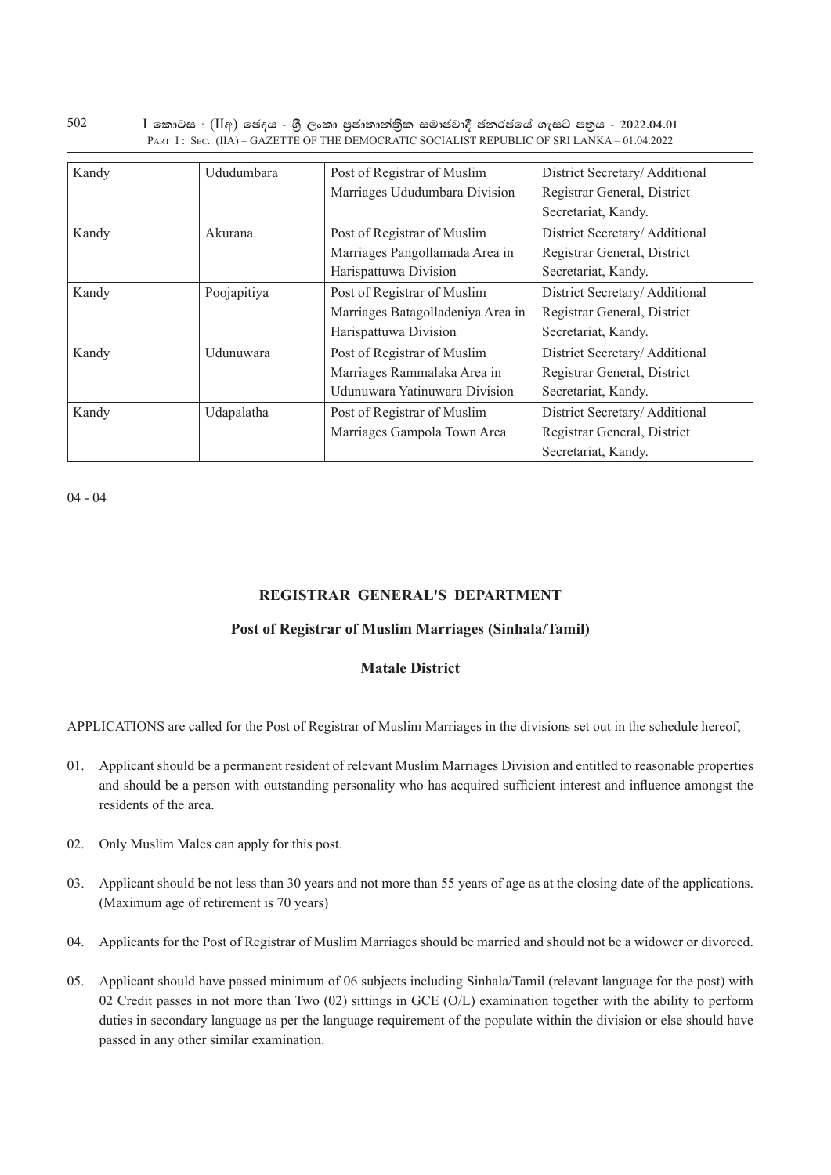| Kandy | Ududumbara  | Post of Registrar of Muslim       | District Secretary/Additional |
|-------|-------------|-----------------------------------|-------------------------------|
|       |             | Marriages Ududumbara Division     | Registrar General, District   |
|       |             |                                   | Secretariat, Kandy.           |
| Kandy | Akurana     | Post of Registrar of Muslim       | District Secretary/Additional |
|       |             | Marriages Pangollamada Area in    | Registrar General, District   |
|       |             | Harispattuwa Division             | Secretariat, Kandy.           |
| Kandy | Poojapitiya | Post of Registrar of Muslim       | District Secretary/Additional |
|       |             | Marriages Batagolladeniya Area in | Registrar General, District   |
|       |             | Harispattuwa Division             | Secretariat, Kandy.           |
| Kandy | Udunuwara   | Post of Registrar of Muslim       | District Secretary/Additional |
|       |             | Marriages Rammalaka Area in       | Registrar General, District   |
|       |             | Udunuwara Yatinuwara Division     | Secretariat, Kandy.           |
| Kandy | Udapalatha  | Post of Registrar of Muslim       | District Secretary/Additional |
|       |             | Marriages Gampola Town Area       | Registrar General, District   |
|       |             |                                   | Secretariat, Kandy.           |

 $I$  කොටස : (IIඅ) ඡෙදය - ශී ලංකා පුජාතාන්තික සමාජවාදී ජනරජයේ ගැසට් පතුය - 2022.04.01 PART I : SEC. (IIA) – GAZETTE OF THE DEMOCRATIC SOCIALIST REPUBLIC OF SRI LANKA – 01.04.2022

04 - 04

## **REgistrar General's Department**

## **Post of Registrar of Muslim Marriages (Sinhala/Tamil)**

## **Matale District**

APPLICATIONS are called for the Post of Registrar of Muslim Marriages in the divisions set out in the schedule hereof;

- 01. Applicant should be a permanent resident of relevant Muslim Marriages Division and entitled to reasonable properties and should be a person with outstanding personality who has acquired sufficient interest and influence amongst the residents of the area.
- 02. Only Muslim Males can apply for this post.
- 03. Applicant should be not less than 30 years and not more than 55 years of age as at the closing date of the applications. (Maximum age of retirement is 70 years)
- 04. Applicants for the Post of Registrar of Muslim Marriages should be married and should not be a widower or divorced.
- 05. Applicant should have passed minimum of 06 subjects including Sinhala/Tamil (relevant language for the post) with 02 Credit passes in not more than Two (02) sittings in GCE (O/L) examination together with the ability to perform duties in secondary language as per the language requirement of the populate within the division or else should have passed in any other similar examination.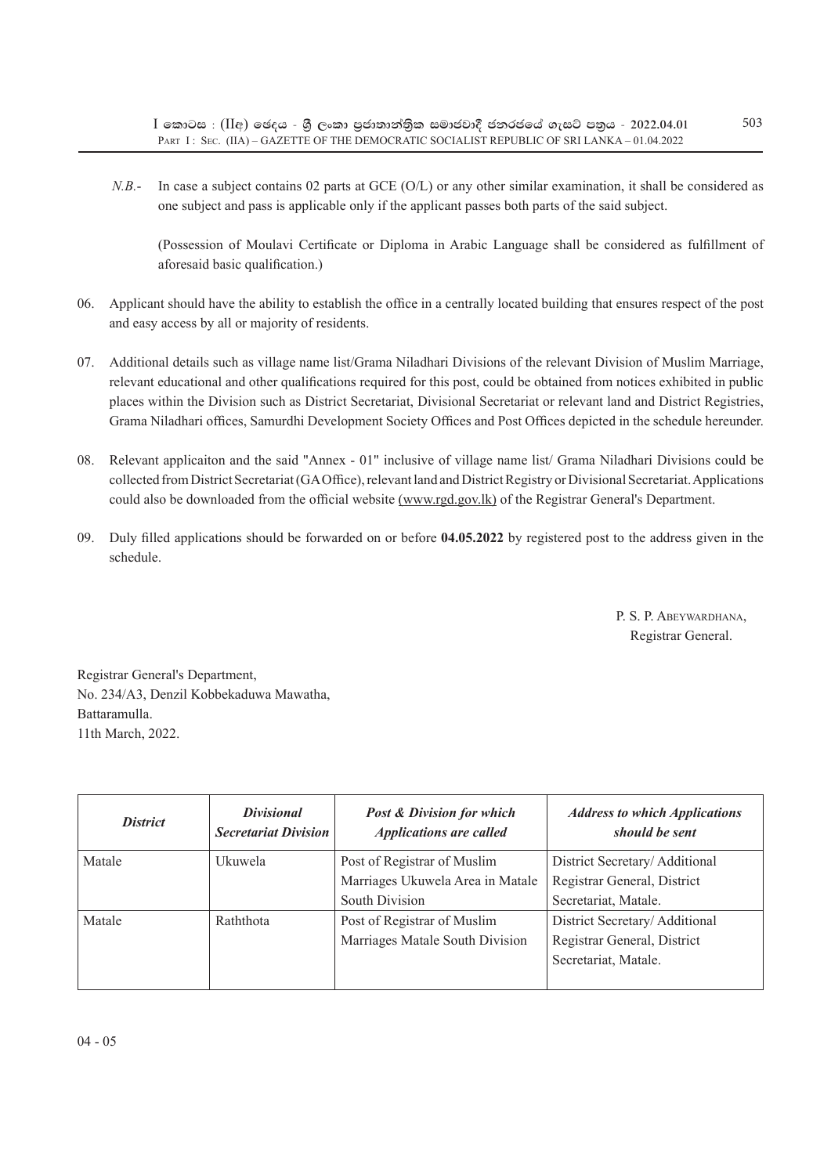*N.B.*- In case a subject contains 02 parts at GCE (O/L) or any other similar examination, it shall be considered as one subject and pass is applicable only if the applicant passes both parts of the said subject.

(Possession of Moulavi Certificate or Diploma in Arabic Language shall be considered as fulfillment of aforesaid basic qualification.)

- 06. Applicant should have the ability to establish the office in a centrally located building that ensures respect of the post and easy access by all or majority of residents.
- 07. Additional details such as village name list/Grama Niladhari Divisions of the relevant Division of Muslim Marriage, relevant educational and other qualifications required for this post, could be obtained from notices exhibited in public places within the Division such as District Secretariat, Divisional Secretariat or relevant land and District Registries, Grama Niladhari offices, Samurdhi Development Society Offices and Post Offices depicted in the schedule hereunder.
- 08. Relevant applicaiton and the said "Annex 01" inclusive of village name list/ Grama Niladhari Divisions could be collected from District Secretariat (GA Office), relevant land and District Registry or Divisional Secretariat. Applications could also be downloaded from the official website (www.rgd.gov.lk) of the Registrar General's Department.
- 09. Duly filled applications should be forwarded on or before **04.05.2022** by registered post to the address given in the schedule.

 P. S. P. Abeywardhana, Registrar General.

Registrar General's Department, No. 234/A3, Denzil Kobbekaduwa Mawatha, Battaramulla. 11th March, 2022.

| <b>District</b> | <i>Divisional</i><br><b>Secretariat Division</b> | <b>Post &amp; Division for which</b><br><b>Applications are called</b> | <b>Address to which Applications</b><br>should be sent |
|-----------------|--------------------------------------------------|------------------------------------------------------------------------|--------------------------------------------------------|
| Matale          | Ukuwela                                          | Post of Registrar of Muslim                                            | District Secretary/Additional                          |
|                 |                                                  | Marriages Ukuwela Area in Matale                                       | Registrar General, District                            |
|                 |                                                  | South Division                                                         | Secretariat, Matale.                                   |
| Matale          | Raththota                                        | Post of Registrar of Muslim                                            | District Secretary/Additional                          |
|                 |                                                  | Marriages Matale South Division                                        | Registrar General, District                            |
|                 |                                                  |                                                                        | Secretariat, Matale.                                   |
|                 |                                                  |                                                                        |                                                        |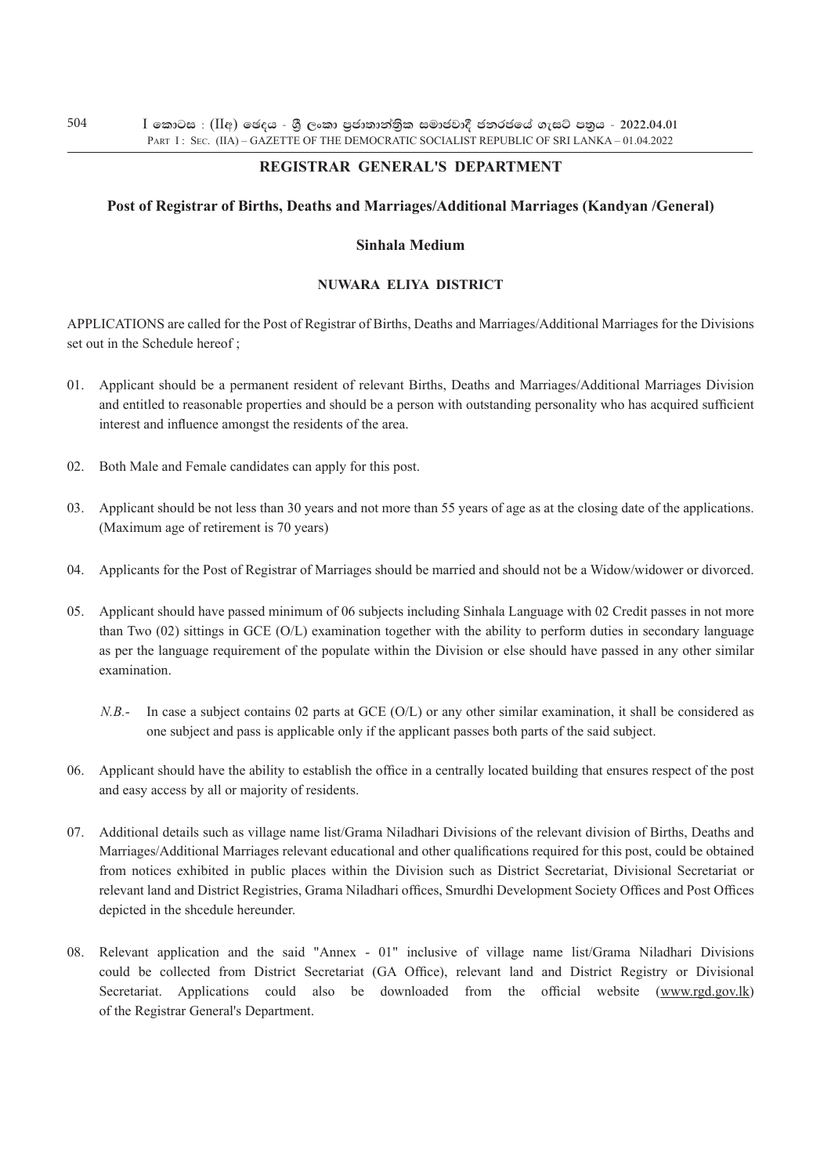## **REgistrar General's Department**

## **Post of Registrar of Births, Deaths and Marriages/Additional Marriages (Kandyan /General)**

## **Sinhala Medium**

## **nuwara eliya District**

Applications are called for the Post of Registrar of Births, Deaths and Marriages/Additional Marriages for the Divisions set out in the Schedule hereof;

- 01. Applicant should be a permanent resident of relevant Births, Deaths and Marriages/Additional Marriages Division and entitled to reasonable properties and should be a person with outstanding personality who has acquired sufficient interest and influence amongst the residents of the area.
- 02. Both Male and Female candidates can apply for this post.
- 03. Applicant should be not less than 30 years and not more than 55 years of age as at the closing date of the applications. (Maximum age of retirement is 70 years)
- 04. Applicants for the Post of Registrar of Marriages should be married and should not be a Widow/widower or divorced.
- 05. Applicant should have passed minimum of 06 subjects including Sinhala Language with 02 Credit passes in not more than Two (02) sittings in GCE (O/L) examination together with the ability to perform duties in secondary language as per the language requirement of the populate within the Division or else should have passed in any other similar examination.
	- *N.B.* In case a subject contains 02 parts at GCE (O/L) or any other similar examination, it shall be considered as one subject and pass is applicable only if the applicant passes both parts of the said subject.
- 06. Applicant should have the ability to establish the office in a centrally located building that ensures respect of the post and easy access by all or majority of residents.
- 07. Additional details such as village name list/Grama Niladhari Divisions of the relevant division of Births, Deaths and Marriages/Additional Marriages relevant educational and other qualifications required for this post, could be obtained from notices exhibited in public places within the Division such as District Secretariat, Divisional Secretariat or relevant land and District Registries, Grama Niladhari offices, Smurdhi Development Society Offices and Post Offices depicted in the shcedule hereunder.
- 08. Relevant application and the said "Annex 01" inclusive of village name list/Grama Niladhari Divisions could be collected from District Secretariat (GA Office), relevant land and District Registry or Divisional Secretariat. Applications could also be downloaded from the official website (www.rgd.gov.lk) of the Registrar General's Department.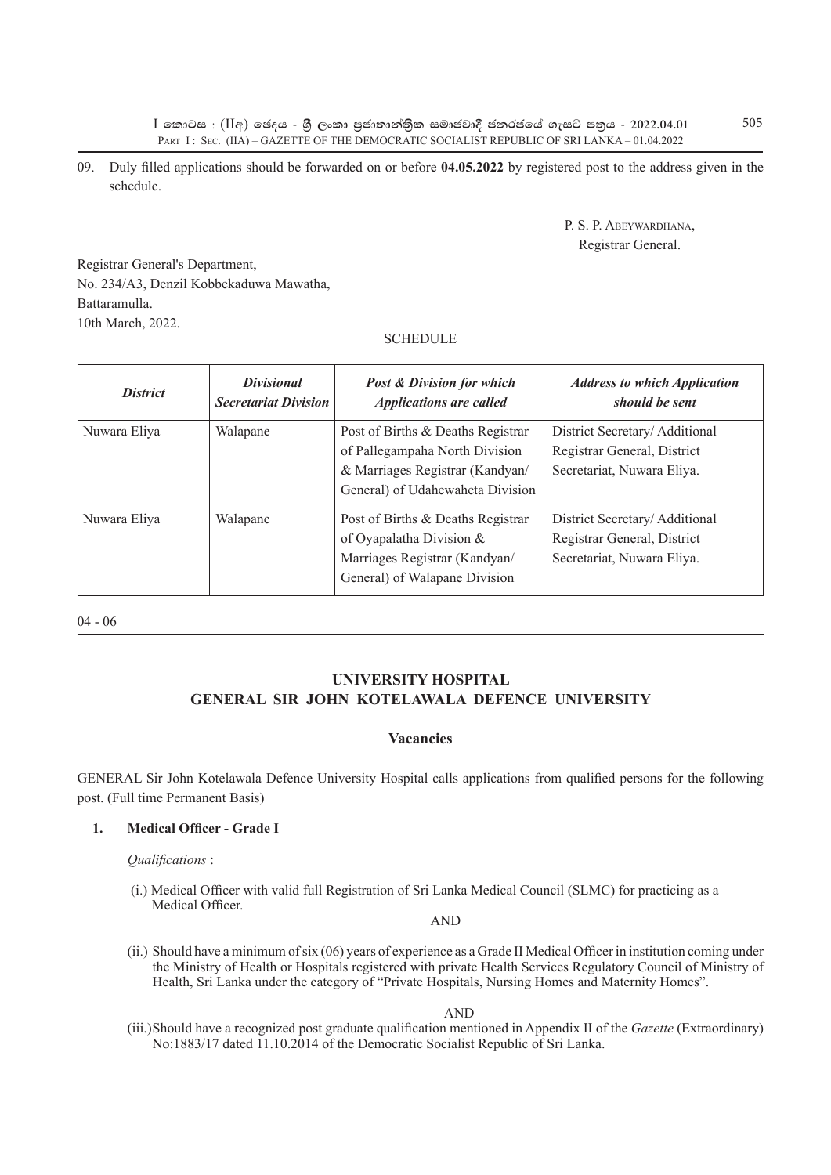$I$  කොටස : (IIඅ) ඡෙදය - ශී ලංකා පුජාතාන්තික සමාජවාදී ජනරජයේ ගැසට් පතුය - 2022.04.01 PART I : SEC. (IIA) – GAZETTE OF THE DEMOCRATIC SOCIALIST REPUBLIC OF SRI LANKA – 01.04.2022

09. Duly filled applications should be forwarded on or before **04.05.2022** by registered post to the address given in the schedule.

> P. S. P. Abeywardhana, Registrar General.

Registrar General's Department, No. 234/A3, Denzil Kobbekaduwa Mawatha, Battaramulla. 10th March, 2022.

## **SCHEDULE**

| <b>District</b> | <i>Divisional</i><br><b>Secretariat Division</b> | <b>Post &amp; Division for which</b><br><b>Applications are called</b>                                                                     | <b>Address to which Application</b><br>should be sent                                      |
|-----------------|--------------------------------------------------|--------------------------------------------------------------------------------------------------------------------------------------------|--------------------------------------------------------------------------------------------|
| Nuwara Eliya    | Walapane                                         | Post of Births & Deaths Registrar<br>of Pallegampaha North Division<br>& Marriages Registrar (Kandyan/<br>General) of Udahewaheta Division | District Secretary/Additional<br>Registrar General, District<br>Secretariat, Nuwara Eliya. |
| Nuwara Eliya    | Walapane                                         | Post of Births & Deaths Registrar<br>of Oyapalatha Division &<br>Marriages Registrar (Kandyan/<br>General) of Walapane Division            | District Secretary/Additional<br>Registrar General, District<br>Secretariat, Nuwara Eliya. |

04 - 06

## **University hospital general sir john kotelawala defence university**

## **Vacancies**

GENERAL Sir John Kotelawala Defence University Hospital calls applications from qualified persons for the following post. (Full time Permanent Basis)

## **1. Medical Officer - Grade I**

### *Qualifications* :

(i.) Medical Officer with valid full Registration of Sri Lanka Medical Council (SLMC) for practicing as a Medical Officer.

AND

(ii.) Should have a minimum of six (06) years of experience as a Grade II Medical Officer in institution coming under the Ministry of Health or Hospitals registered with private Health Services Regulatory Council of Ministry of Health, Sri Lanka under the category of "Private Hospitals, Nursing Homes and Maternity Homes".

AND

(iii.)Should have a recognized post graduate qualification mentioned in Appendix II of the *Gazette* (Extraordinary) No:1883/17 dated 11.10.2014 of the Democratic Socialist Republic of Sri Lanka.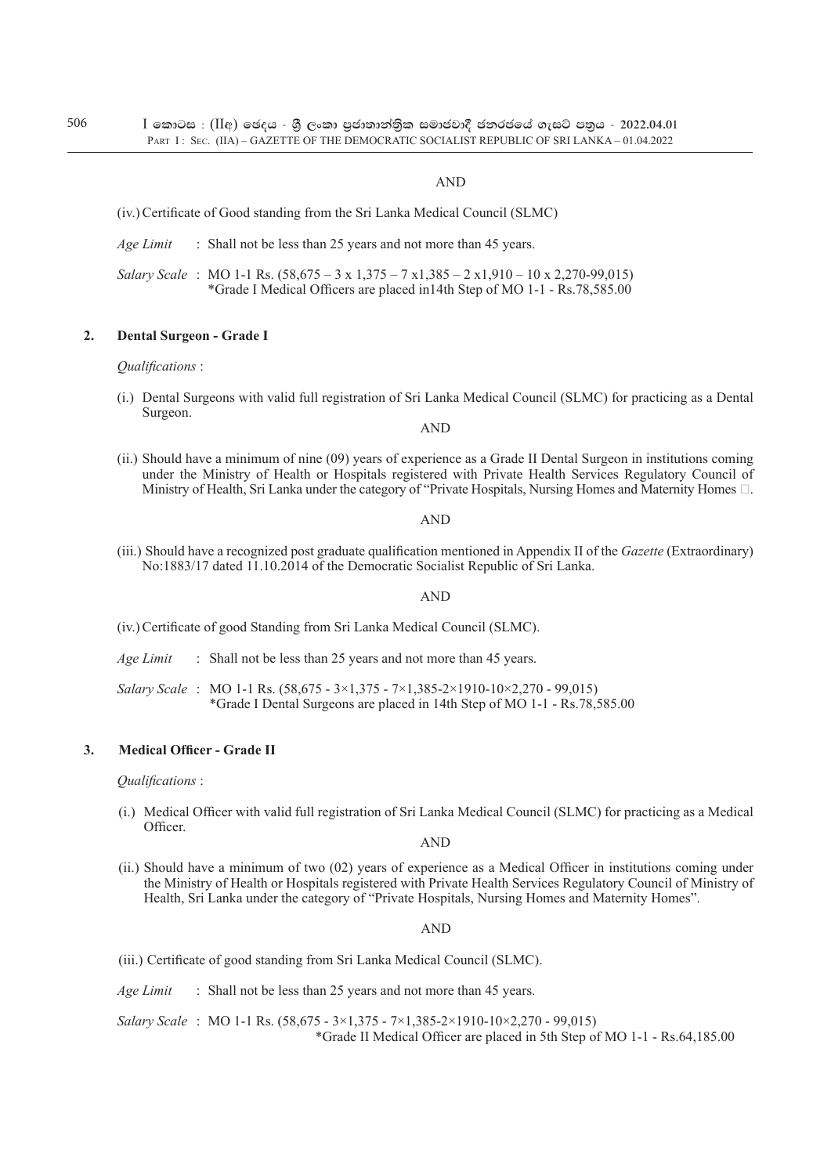### AND

- (iv.) Certificate of Good standing from the Sri Lanka Medical Council (SLMC)
- *Age Limit* : Shall not be less than 25 years and not more than 45 years.
- *Salary Scale* : MO 1-1 Rs. (58,675 3 x 1,375 7 x1,385 2 x1,910 10 x 2,270-99,015) \*Grade I Medical Officers are placed in14th Step of MO 1-1 - Rs.78,585.00

#### **2. Dental Surgeon - Grade I**

*Qualifications* :

(i.) Dental Surgeons with valid full registration of Sri Lanka Medical Council (SLMC) for practicing as a Dental Surgeon.

AND

(ii.) Should have a minimum of nine (09) years of experience as a Grade II Dental Surgeon in institutions coming under the Ministry of Health or Hospitals registered with Private Health Services Regulatory Council of Ministry of Health, Sri Lanka under the category of "Private Hospitals, Nursing Homes and Maternity Homes  $\Box$ .

#### AND

(iii.) Should have a recognized post graduate qualification mentioned in Appendix II of the *Gazette* (Extraordinary) No:1883/17 dated 11.10.2014 of the Democratic Socialist Republic of Sri Lanka.

#### AND

- (iv.) Certificate of good Standing from Sri Lanka Medical Council (SLMC).
- *Age Limit* : Shall not be less than 25 years and not more than 45 years.
- *Salary Scale* : MO 1-1 Rs. (58,675 3×1,375 7×1,385-2×1910-10×2,270 99,015) \*Grade I Dental Surgeons are placed in 14th Step of MO 1-1 - Rs.78,585.00

#### **3. Medical Officer - Grade II**

*Qualifications* :

(i.) Medical Officer with valid full registration of Sri Lanka Medical Council (SLMC) for practicing as a Medical Officer.

AND

(ii.) Should have a minimum of two (02) years of experience as a Medical Officer in institutions coming under the Ministry of Health or Hospitals registered with Private Health Services Regulatory Council of Ministry of Health, Sri Lanka under the category of "Private Hospitals, Nursing Homes and Maternity Homes".

AND

- (iii.) Certificate of good standing from Sri Lanka Medical Council (SLMC).
- *Age Limit* : Shall not be less than 25 years and not more than 45 years.
- *Salary Scale* : MO 1-1 Rs. (58,675 3×1,375 7×1,385-2×1910-10×2,270 99,015) \*Grade II Medical Officer are placed in 5th Step of MO 1-1 - Rs.64,185.00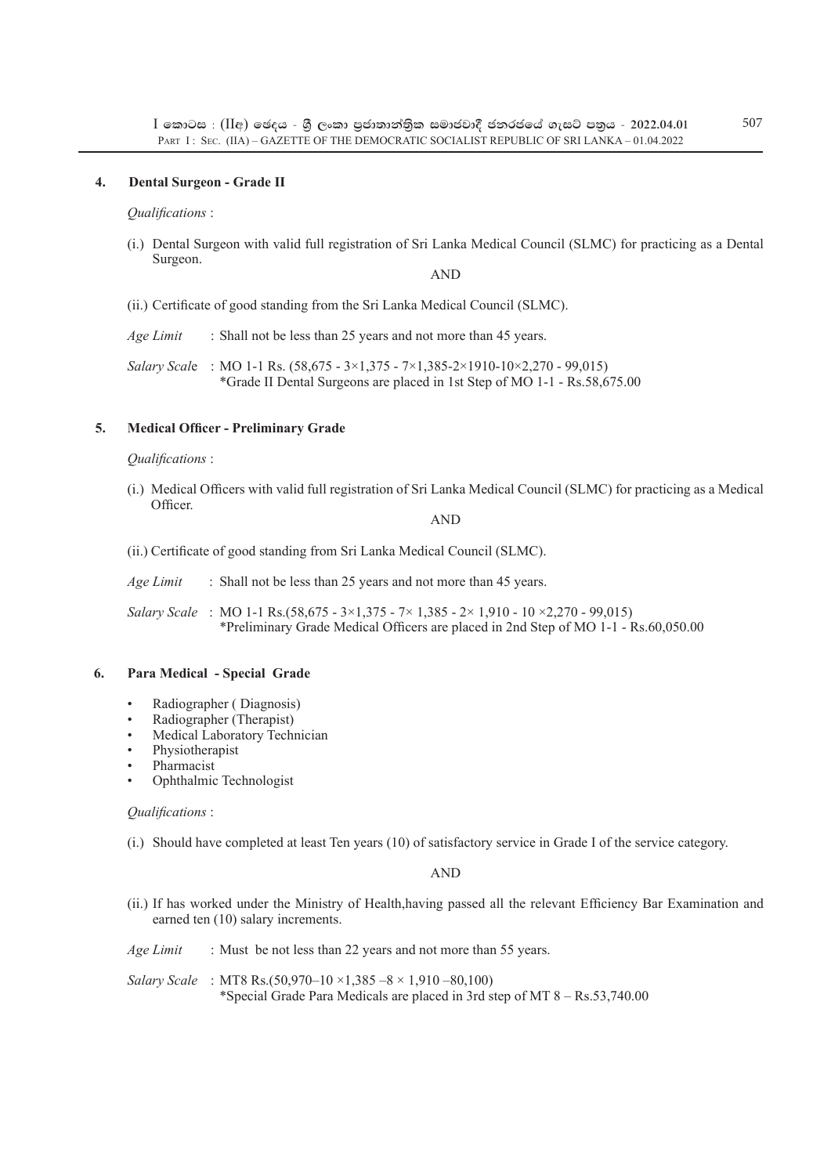### **4. Dental Surgeon - Grade II**

*Qualifications* :

(i.) Dental Surgeon with valid full registration of Sri Lanka Medical Council (SLMC) for practicing as a Dental Surgeon.

AND

(ii.) Certificate of good standing from the Sri Lanka Medical Council (SLMC).

*Age Limit* : Shall not be less than 25 years and not more than 45 years.

*Salary Scal*e : MO 1-1 Rs. (58,675 - 3×1,375 - 7×1,385-2×1910-10×2,270 - 99,015) \*Grade II Dental Surgeons are placed in 1st Step of MO 1-1 - Rs.58,675.00

### **5. Medical Officer - Preliminary Grade**

#### *Qualifications* :

(i.) Medical Officers with valid full registration of Sri Lanka Medical Council (SLMC) for practicing as a Medical Officer.

AND

(ii.) Certificate of good standing from Sri Lanka Medical Council (SLMC).

*Age Limit* : Shall not be less than 25 years and not more than 45 years.

*Salary Scale* : MO 1-1 Rs.(58,675 - 3×1,375 - 7× 1,385 - 2× 1,910 - 10 ×2,270 - 99,015) \*Preliminary Grade Medical Officers are placed in 2nd Step of MO 1-1 - Rs.60,050.00

#### **6. Para Medical - Special Grade**

- Radiographer ( Diagnosis)
- Radiographer (Therapist)
- Medical Laboratory Technician
- Physiotherapist
- Pharmacist
- Ophthalmic Technologist

#### *Qualifications* :

(i.) Should have completed at least Ten years (10) of satisfactory service in Grade I of the service category.

AND

(ii.) If has worked under the Ministry of Health,having passed all the relevant Efficiency Bar Examination and earned ten (10) salary increments.

*Age Limit* : Must be not less than 22 years and not more than 55 years.

*Salary Scale* : MT8 Rs.(50,970–10 ×1,385 –8 × 1,910 –80,100) \*Special Grade Para Medicals are placed in 3rd step of MT 8 – Rs.53,740.00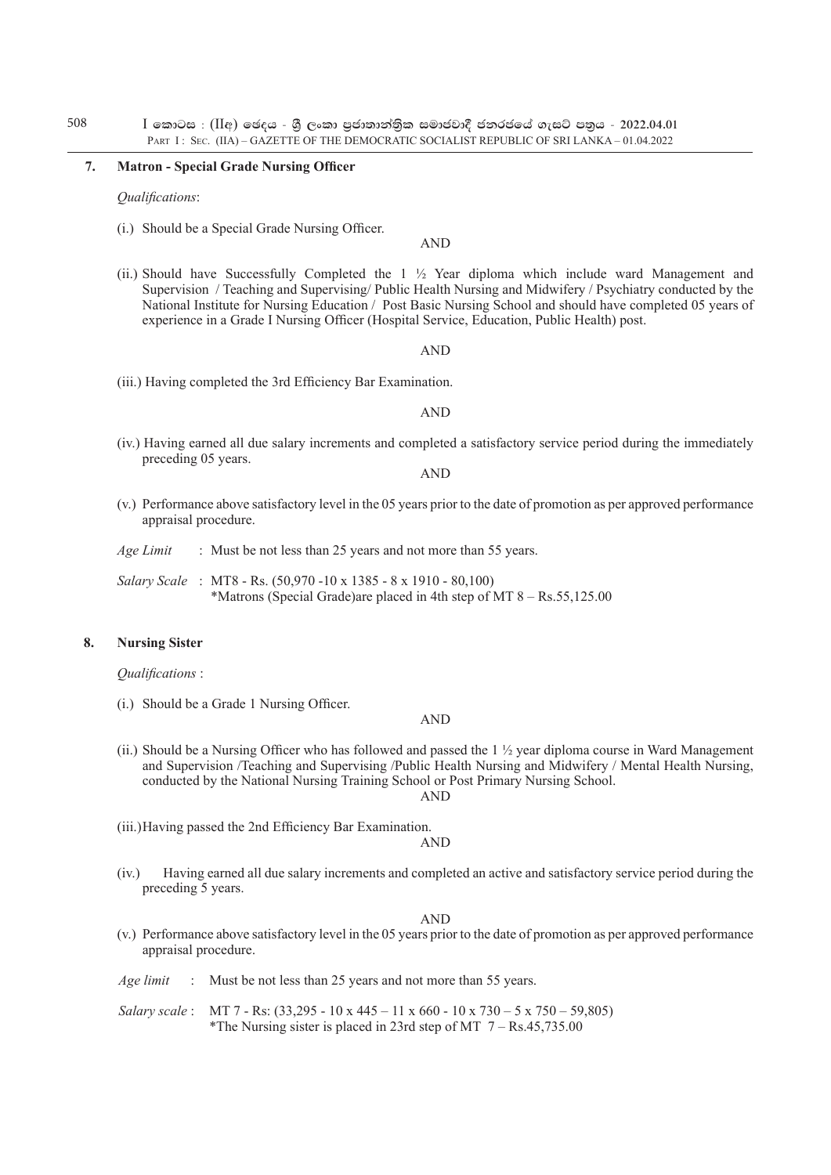#### **7. Matron - Special Grade Nursing Officer**

*Qualifications*:

(i.) Should be a Special Grade Nursing Officer.

AND

(ii.) Should have Successfully Completed the  $1 \frac{1}{2}$  Year diploma which include ward Management and Supervision / Teaching and Supervising/ Public Health Nursing and Midwifery / Psychiatry conducted by the National Institute for Nursing Education / Post Basic Nursing School and should have completed 05 years of experience in a Grade I Nursing Officer (Hospital Service, Education, Public Health) post.

AND

(iii.) Having completed the 3rd Efficiency Bar Examination.

#### AND

(iv.) Having earned all due salary increments and completed a satisfactory service period during the immediately preceding 05 years.

AND

(v.) Performance above satisfactory level in the 05 years prior to the date of promotion as per approved performance appraisal procedure.

*Age Limit* : Must be not less than 25 years and not more than 55 years.

*Salary Scale* : MT8 - Rs. (50,970 -10 x 1385 - 8 x 1910 - 80,100) \*Matrons (Special Grade)are placed in 4th step of MT 8 – Rs.55,125.00

### **8. Nursing Sister**

*Qualifications* :

(i.) Should be a Grade 1 Nursing Officer.

AND

(ii.) Should be a Nursing Officer who has followed and passed the  $1\frac{1}{2}$  year diploma course in Ward Management and Supervision /Teaching and Supervising /Public Health Nursing and Midwifery / Mental Health Nursing, conducted by the National Nursing Training School or Post Primary Nursing School. AND

(iii.)Having passed the 2nd Efficiency Bar Examination.

AND

(iv.) Having earned all due salary increments and completed an active and satisfactory service period during the preceding 5 years.

AND

- (v.) Performance above satisfactory level in the 05 years prior to the date of promotion as per approved performance appraisal procedure.
- *Age limit* : Must be not less than 25 years and not more than 55 years.
- *Salary scale* : MT 7 Rs: (33,295 10 x 445 11 x 660 10 x 730 5 x 750 59,805) \*The Nursing sister is placed in 23rd step of MT  $7 - \text{Rs}.45,735.00$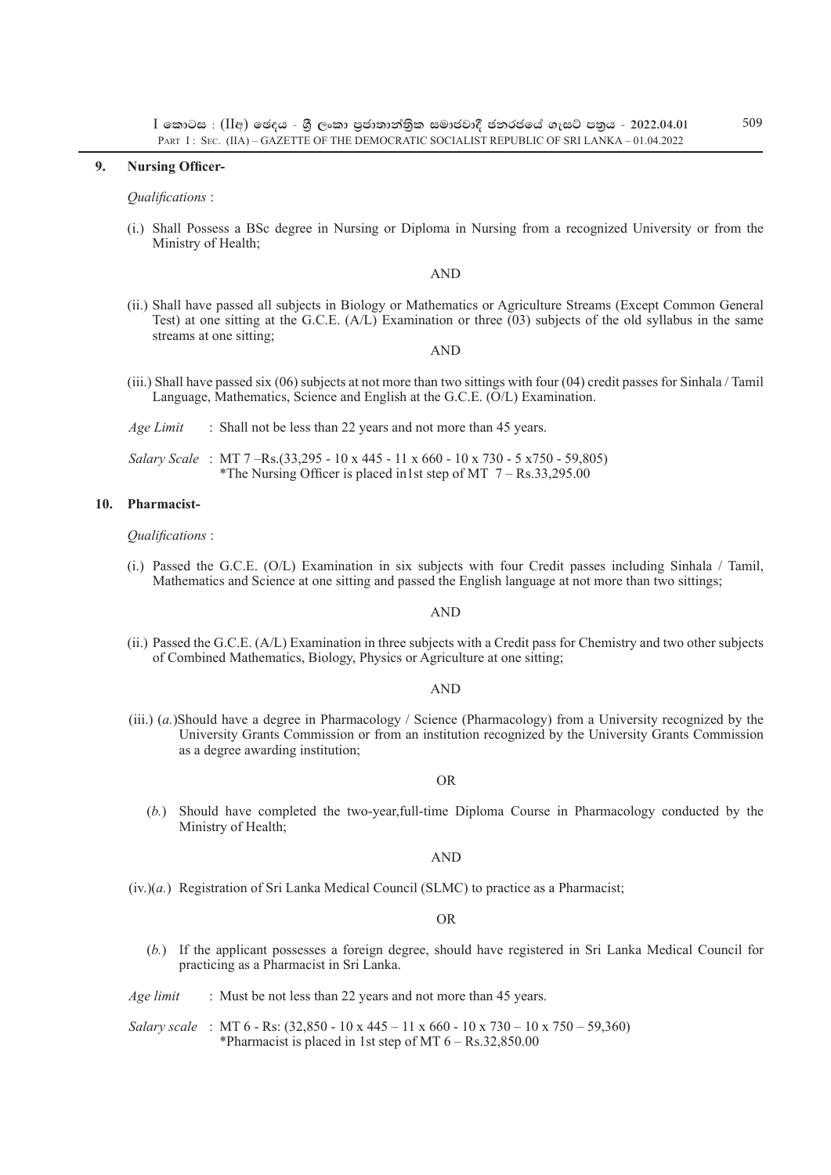#### **9. Nursing Officer-**

*Qualifications* :

(i.) Shall Possess a BSc degree in Nursing or Diploma in Nursing from a recognized University or from the Ministry of Health;

#### AND

(ii.) Shall have passed all subjects in Biology or Mathematics or Agriculture Streams (Except Common General Test) at one sitting at the G.C.E. (A/L) Examination or three (03) subjects of the old syllabus in the same streams at one sitting;

#### AND

- (iii.) Shall have passed six (06) subjects at not more than two sittings with four (04) credit passes for Sinhala / Tamil Language, Mathematics, Science and English at the G.C.E. (O/L) Examination.
- *Age Limit* : Shall not be less than 22 years and not more than 45 years.
- *Salary Scale* : MT 7 –Rs.(33,295 10 x 445 11 x 660 10 x 730 5 x750 59,805) \*The Nursing Officer is placed in1st step of MT  $7 - Rs.33,295.00$

#### **10. Pharmacist-**

#### *Qualifications* :

(i.) Passed the G.C.E. (O/L) Examination in six subjects with four Credit passes including Sinhala / Tamil, Mathematics and Science at one sitting and passed the English language at not more than two sittings;

#### AND

(ii.) Passed the G.C.E. (A/L) Examination in three subjects with a Credit pass for Chemistry and two other subjects of Combined Mathematics, Biology, Physics or Agriculture at one sitting;

#### AND

(iii.) (*a.*)Should have a degree in Pharmacology / Science (Pharmacology) from a University recognized by the University Grants Commission or from an institution recognized by the University Grants Commission as a degree awarding institution;

#### OR

 (*b.*) Should have completed the two-year,full-time Diploma Course in Pharmacology conducted by the Ministry of Health;

#### AND

 $(iv.)$ (*a.*) Registration of Sri Lanka Medical Council (SLMC) to practice as a Pharmacist;

#### OR

- (*b.*) If the applicant possesses a foreign degree, should have registered in Sri Lanka Medical Council for practicing as a Pharmacist in Sri Lanka.
- *Age limit* : Must be not less than 22 years and not more than 45 years.
- *Salary scale* : MT 6 Rs: (32,850 10 x 445 11 x 660 10 x 730 10 x 750 59,360) \*Pharmacist is placed in 1st step of MT  $6 - \text{Rs}.32,850.00$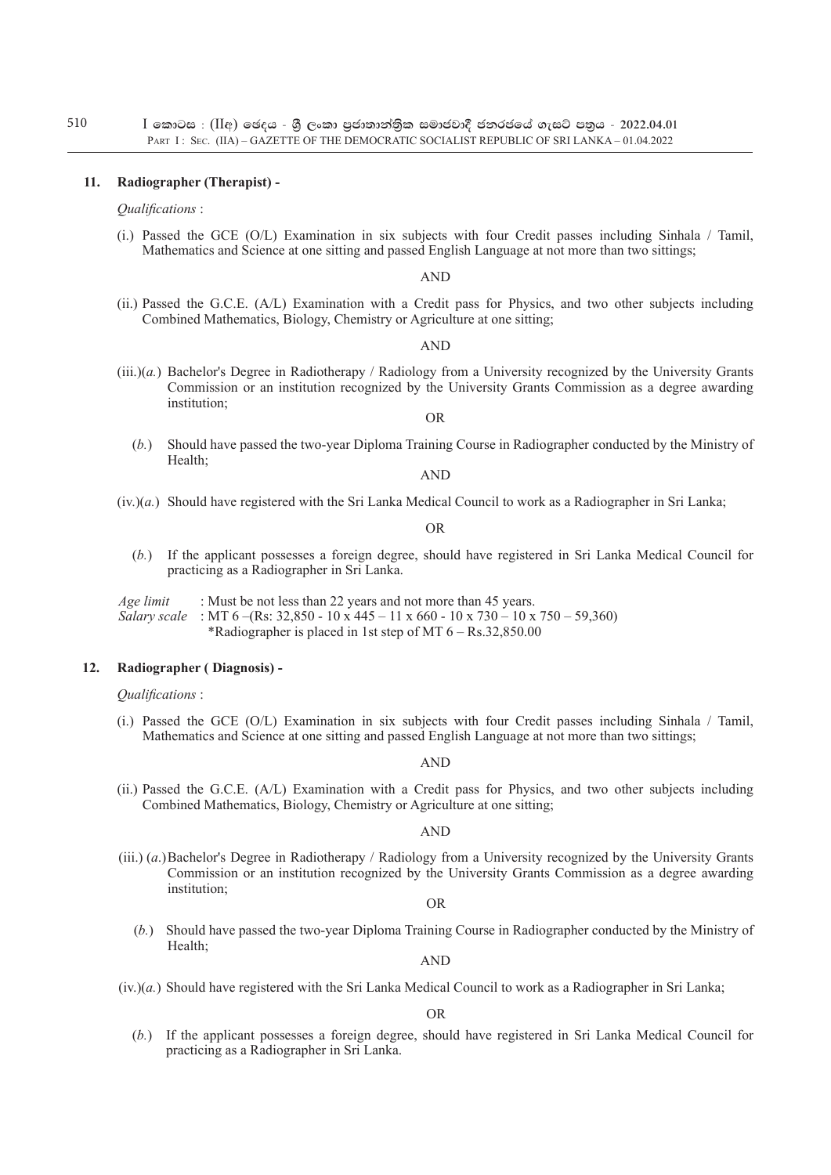## **11. Radiographer (Therapist) -**

## *Qualifications* :

(i.) Passed the GCE (O/L) Examination in six subjects with four Credit passes including Sinhala / Tamil, Mathematics and Science at one sitting and passed English Language at not more than two sittings;

## AND

(ii.) Passed the G.C.E. (A/L) Examination with a Credit pass for Physics, and two other subjects including Combined Mathematics, Biology, Chemistry or Agriculture at one sitting;

### AND

(iii.)(*a.*) Bachelor's Degree in Radiotherapy / Radiology from a University recognized by the University Grants Commission or an institution recognized by the University Grants Commission as a degree awarding institution;

## OR

(*b.*) Should have passed the two-year Diploma Training Course in Radiographer conducted by the Ministry of Health;

## AND

(iv.)(*a.*) Should have registered with the Sri Lanka Medical Council to work as a Radiographer in Sri Lanka;

OR

(*b.*) If the applicant possesses a foreign degree, should have registered in Sri Lanka Medical Council for practicing as a Radiographer in Sri Lanka.

*Age limit* : Must be not less than 22 years and not more than 45 years. *Salary scale* : MT 6 –(Rs: 32,850 - 10 x 445 – 11 x 660 - 10 x 730 – 10 x 750 – 59,360) \*Radiographer is placed in 1st step of MT 6 – Rs.32,850.00

## **12. Radiographer ( Diagnosis) -**

#### *Qualifications* :

(i.) Passed the GCE (O/L) Examination in six subjects with four Credit passes including Sinhala / Tamil, Mathematics and Science at one sitting and passed English Language at not more than two sittings;

#### AND

(ii.) Passed the G.C.E. (A/L) Examination with a Credit pass for Physics, and two other subjects including Combined Mathematics, Biology, Chemistry or Agriculture at one sitting;

#### AND

(iii.) (*a*.)Bachelor's Degree in Radiotherapy / Radiology from a University recognized by the University Grants Commission or an institution recognized by the University Grants Commission as a degree awarding institution;

OR

(*b.*) Should have passed the two-year Diploma Training Course in Radiographer conducted by the Ministry of Health;

AND

(iv.)(*a.*) Should have registered with the Sri Lanka Medical Council to work as a Radiographer in Sri Lanka;

OR

(*b.*) If the applicant possesses a foreign degree, should have registered in Sri Lanka Medical Council for practicing as a Radiographer in Sri Lanka.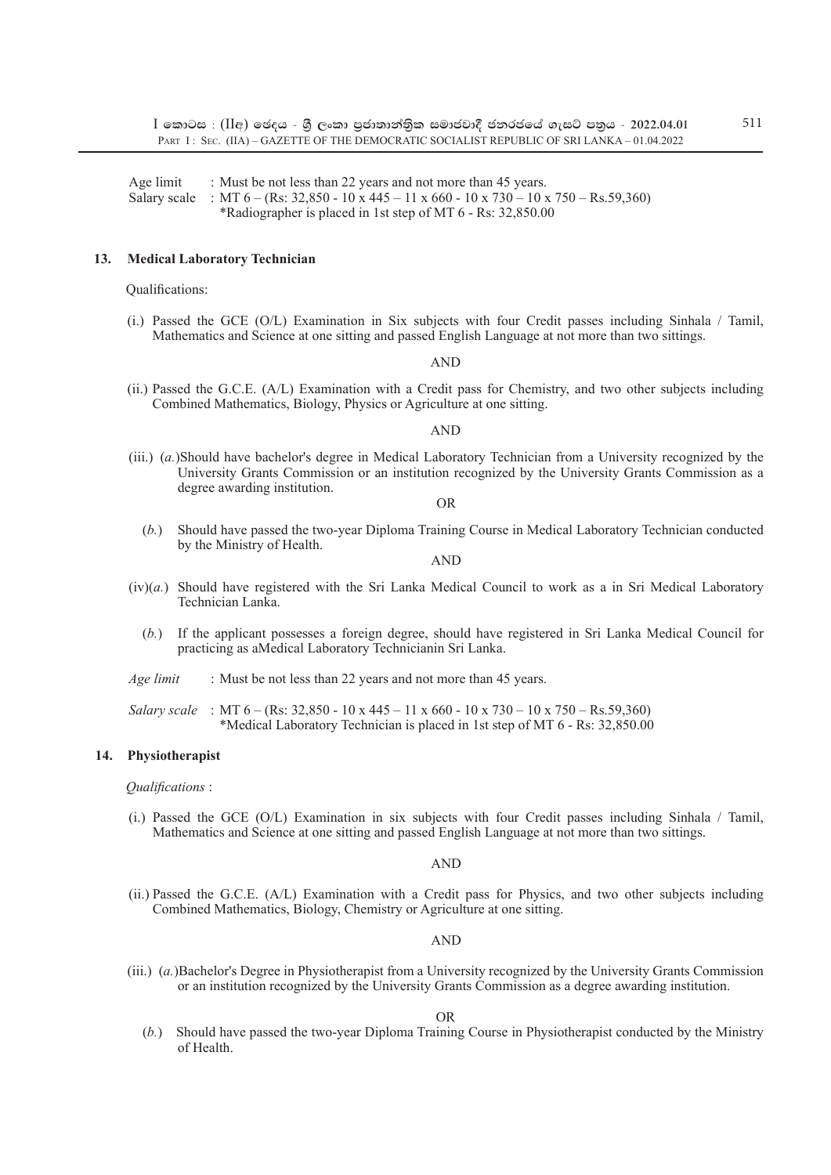Age limit : Must be not less than 22 years and not more than 45 years. Salary scale : MT  $6 - (Rs: 32,850 - 10 \times 445 - 11 \times 660 - 10 \times 730 - 10 \times 750 - Rs.59,360)$ \*Radiographer is placed in 1st step of MT 6 - Rs: 32,850.00

### **13. Medical Laboratory Technician**

#### Qualifications:

(i.) Passed the GCE (O/L) Examination in Six subjects with four Credit passes including Sinhala / Tamil, Mathematics and Science at one sitting and passed English Language at not more than two sittings.

#### AND

(ii.) Passed the G.C.E. (A/L) Examination with a Credit pass for Chemistry, and two other subjects including Combined Mathematics, Biology, Physics or Agriculture at one sitting.

#### AND

(iii.) (*a.*)Should have bachelor's degree in Medical Laboratory Technician from a University recognized by the University Grants Commission or an institution recognized by the University Grants Commission as a degree awarding institution.

OR

(*b.*) Should have passed the two-year Diploma Training Course in Medical Laboratory Technician conducted by the Ministry of Health.

AND

- (iv)(*a.*) Should have registered with the Sri Lanka Medical Council to work as a in Sri Medical Laboratory Technician Lanka.
	- (*b.*) If the applicant possesses a foreign degree, should have registered in Sri Lanka Medical Council for practicing as aMedical Laboratory Technicianin Sri Lanka.
- *Age limit* : Must be not less than 22 years and not more than 45 years.

*Salary scale* : MT 6 – (Rs: 32,850 - 10 x 445 – 11 x 660 - 10 x 730 – 10 x 750 – Rs.59,360) \*Medical Laboratory Technician is placed in 1st step of MT 6 - Rs: 32,850.00

## **14. Physiotherapist**

#### *Qualifications* :

(i.) Passed the GCE (O/L) Examination in six subjects with four Credit passes including Sinhala / Tamil, Mathematics and Science at one sitting and passed English Language at not more than two sittings.

#### AND

(ii.) Passed the G.C.E. (A/L) Examination with a Credit pass for Physics, and two other subjects including Combined Mathematics, Biology, Chemistry or Agriculture at one sitting.

#### AND

(iii.) (*a.*)Bachelor's Degree in Physiotherapist from a University recognized by the University Grants Commission or an institution recognized by the University Grants Commission as a degree awarding institution.

OR

(*b.*) Should have passed the two-year Diploma Training Course in Physiotherapist conducted by the Ministry of Health.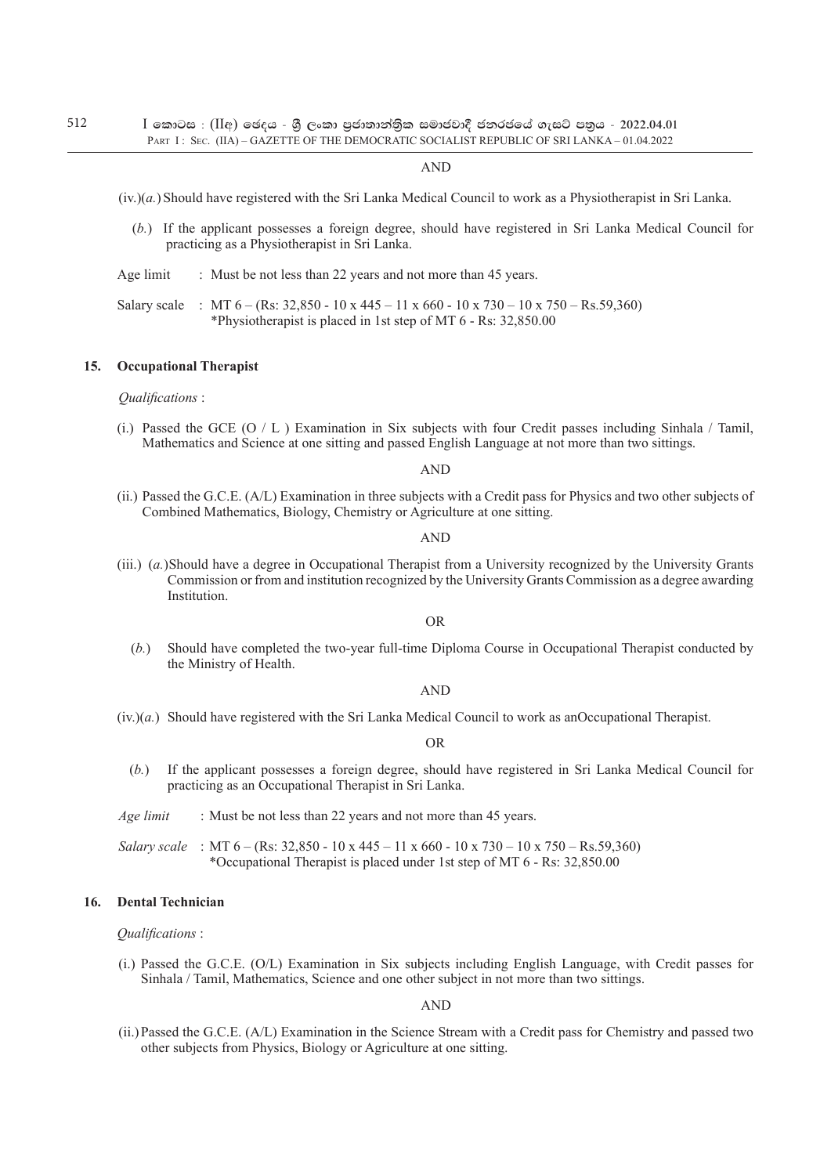#### AND

(iv.)(*a.*) Should have registered with the Sri Lanka Medical Council to work as a Physiotherapist in Sri Lanka.

- (*b.*) If the applicant possesses a foreign degree, should have registered in Sri Lanka Medical Council for practicing as a Physiotherapist in Sri Lanka.
- Age limit : Must be not less than 22 years and not more than 45 years.

Salary scale : MT  $6 - (Rs: 32,850 - 10 \times 445 - 11 \times 660 - 10 \times 730 - 10 \times 750 - Rs.59,360)$ \*Physiotherapist is placed in 1st step of MT 6 - Rs: 32,850.00

#### **15. Occupational Therapist**

*Qualifications* :

(i.) Passed the GCE (O  $/$  L ) Examination in Six subjects with four Credit passes including Sinhala  $/$  Tamil, Mathematics and Science at one sitting and passed English Language at not more than two sittings.

#### AND

(ii.) Passed the G.C.E. (A/L) Examination in three subjects with a Credit pass for Physics and two other subjects of Combined Mathematics, Biology, Chemistry or Agriculture at one sitting.

#### AND

(iii.) (*a.*)Should have a degree in Occupational Therapist from a University recognized by the University Grants Commission or from and institution recognized by the University Grants Commission as a degree awarding **Institution** 

#### OR

(*b.*) Should have completed the two-year full-time Diploma Course in Occupational Therapist conducted by the Ministry of Health.

#### AND

(iv.)(*a.*) Should have registered with the Sri Lanka Medical Council to work as anOccupational Therapist.

OR

(*b.*) If the applicant possesses a foreign degree, should have registered in Sri Lanka Medical Council for practicing as an Occupational Therapist in Sri Lanka.

*Age limit* : Must be not less than 22 years and not more than 45 years.

*Salary scale* : MT 6 – (Rs: 32,850 - 10 x 445 – 11 x 660 - 10 x 730 – 10 x 750 – Rs.59,360) \*Occupational Therapist is placed under 1st step of MT 6 - Rs: 32,850.00

## **16. Dental Technician**

*Qualifications* :

(i.) Passed the G.C.E. (O/L) Examination in Six subjects including English Language, with Credit passes for Sinhala / Tamil, Mathematics, Science and one other subject in not more than two sittings.

AND

(ii.)Passed the G.C.E. (A/L) Examination in the Science Stream with a Credit pass for Chemistry and passed two other subjects from Physics, Biology or Agriculture at one sitting.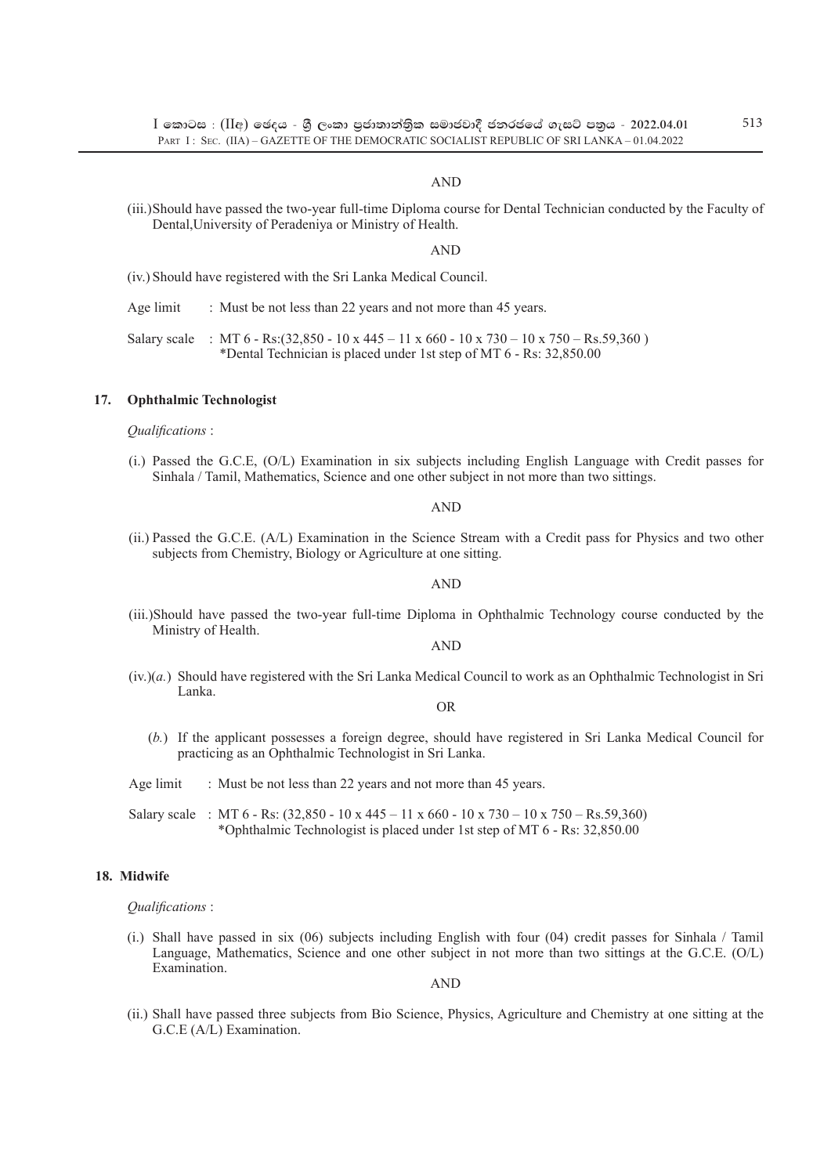## AND

(iii.)Should have passed the two-year full-time Diploma course for Dental Technician conducted by the Faculty of Dental,University of Peradeniya or Ministry of Health.

#### AND

- (iv.) Should have registered with the Sri Lanka Medical Council.
- Age limit : Must be not less than 22 years and not more than 45 years.
- Salary scale : MT 6 Rs:(32,850 10 x 445 11 x 660 10 x 730 10 x 750 Rs.59,360) \*Dental Technician is placed under 1st step of MT 6 - Rs: 32,850.00

#### **17. Ophthalmic Technologist**

*Qualifications* :

(i.) Passed the G.C.E, (O/L) Examination in six subjects including English Language with Credit passes for Sinhala / Tamil, Mathematics, Science and one other subject in not more than two sittings.

AND

(ii.) Passed the G.C.E. (A/L) Examination in the Science Stream with a Credit pass for Physics and two other subjects from Chemistry, Biology or Agriculture at one sitting.

#### AND

(iii.)Should have passed the two-year full-time Diploma in Ophthalmic Technology course conducted by the Ministry of Health.

AND

(iv.)(*a.*) Should have registered with the Sri Lanka Medical Council to work as an Ophthalmic Technologist in Sri Lanka.

OR

- (*b.*) If the applicant possesses a foreign degree, should have registered in Sri Lanka Medical Council for practicing as an Ophthalmic Technologist in Sri Lanka.
- Age limit : Must be not less than 22 years and not more than 45 years.

Salary scale : MT 6 - Rs: (32,850 - 10 x 445 – 11 x 660 - 10 x 730 – 10 x 750 – Rs.59,360) \*Ophthalmic Technologist is placed under 1st step of MT 6 - Rs: 32,850.00

## **18. Midwife**

*Qualifications* :

(i.) Shall have passed in six (06) subjects including English with four (04) credit passes for Sinhala / Tamil Language, Mathematics, Science and one other subject in not more than two sittings at the G.C.E. (O/L) Examination.

AND

(ii.) Shall have passed three subjects from Bio Science, Physics, Agriculture and Chemistry at one sitting at the G.C.E (A/L) Examination.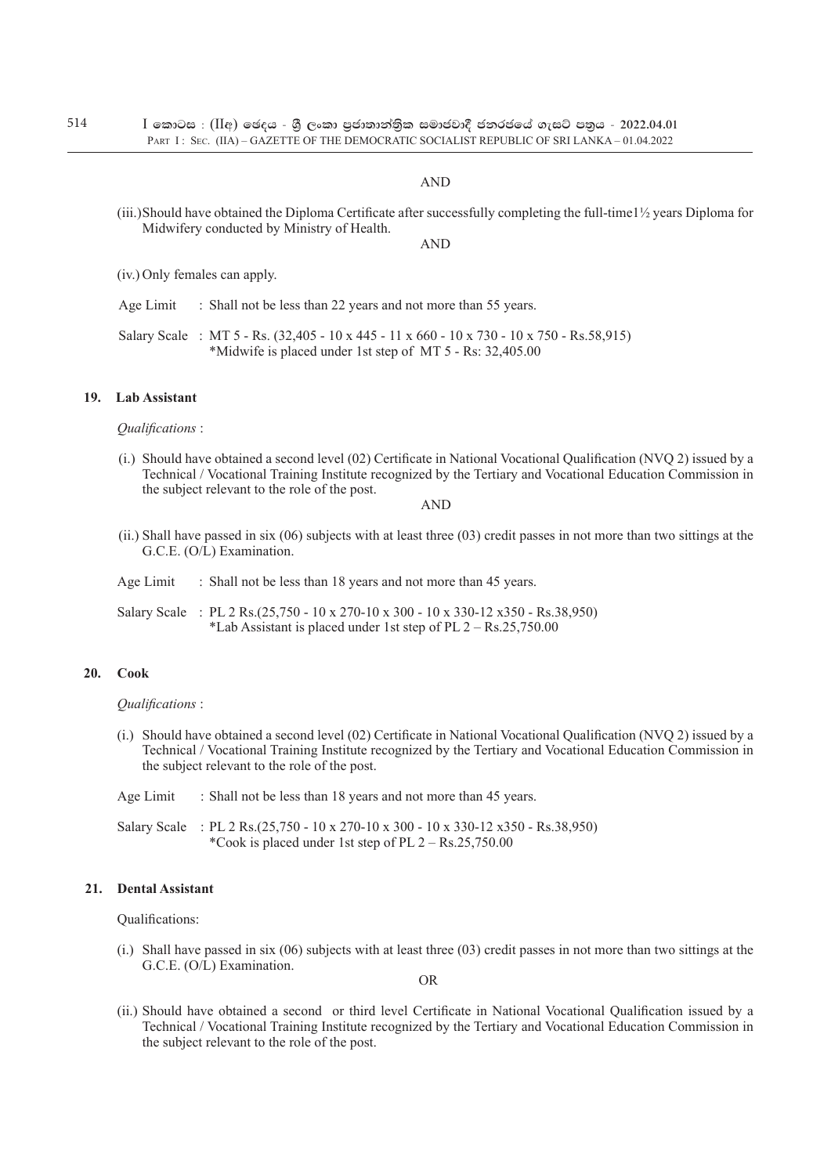$I$  කොටස : (IIඅ) ඡෙදය - ශී ලංකා පුජාතාන්තික සමාජවාදී ජනරජයේ ගැසට් පතුය - 2022.04.01 PART I: SEC. (IIA) – GAZETTE OF THE DEMOCRATIC SOCIALIST REPUBLIC OF SRI LANKA – 01.04.2022

### AND

(iii.)Should have obtained the Diploma Certificate after successfully completing the full-time1½ years Diploma for Midwifery conducted by Ministry of Health.

AND

- (iv.) Only females can apply.
- Age Limit : Shall not be less than 22 years and not more than 55 years.
- Salary Scale : MT 5 Rs. (32,405 10 x 445 11 x 660 10 x 730 10 x 750 Rs.58,915) \*Midwife is placed under 1st step of MT 5 - Rs: 32,405.00

#### **19. Lab Assistant**

*Qualifications* :

(i.) Should have obtained a second level (02) Certificate in National Vocational Qualification (NVQ 2) issued by a Technical / Vocational Training Institute recognized by the Tertiary and Vocational Education Commission in the subject relevant to the role of the post.

AND

(ii.) Shall have passed in six (06) subjects with at least three (03) credit passes in not more than two sittings at the G.C.E. (O/L) Examination.

| Age Limit |  |  | Shall not be less than 18 years and not more than 45 years. |
|-----------|--|--|-------------------------------------------------------------|
|-----------|--|--|-------------------------------------------------------------|

Salary Scale : PL 2 Rs.(25,750 - 10 x 270-10 x 300 - 10 x 330-12 x350 - Rs.38,950) \*Lab Assistant is placed under 1st step of PL  $2 - \text{Rs}.25,750.00$ 

### **20. Cook**

*Qualifications* :

- (i.) Should have obtained a second level (02) Certificate in National Vocational Qualification (NVQ 2) issued by a Technical / Vocational Training Institute recognized by the Tertiary and Vocational Education Commission in the subject relevant to the role of the post.
- Age Limit : Shall not be less than 18 years and not more than 45 years.

Salary Scale : PL 2 Rs.(25,750 - 10 x 270-10 x 300 - 10 x 330-12 x350 - Rs.38,950) \*Cook is placed under 1st step of PL  $2 - \text{Rs}.25,750.00$ 

### **21. Dental Assistant**

Qualifications:

(i.) Shall have passed in six (06) subjects with at least three (03) credit passes in not more than two sittings at the G.C.E. (O/L) Examination.

**OR** 

(ii.) Should have obtained a second or third level Certificate in National Vocational Qualification issued by a Technical / Vocational Training Institute recognized by the Tertiary and Vocational Education Commission in the subject relevant to the role of the post.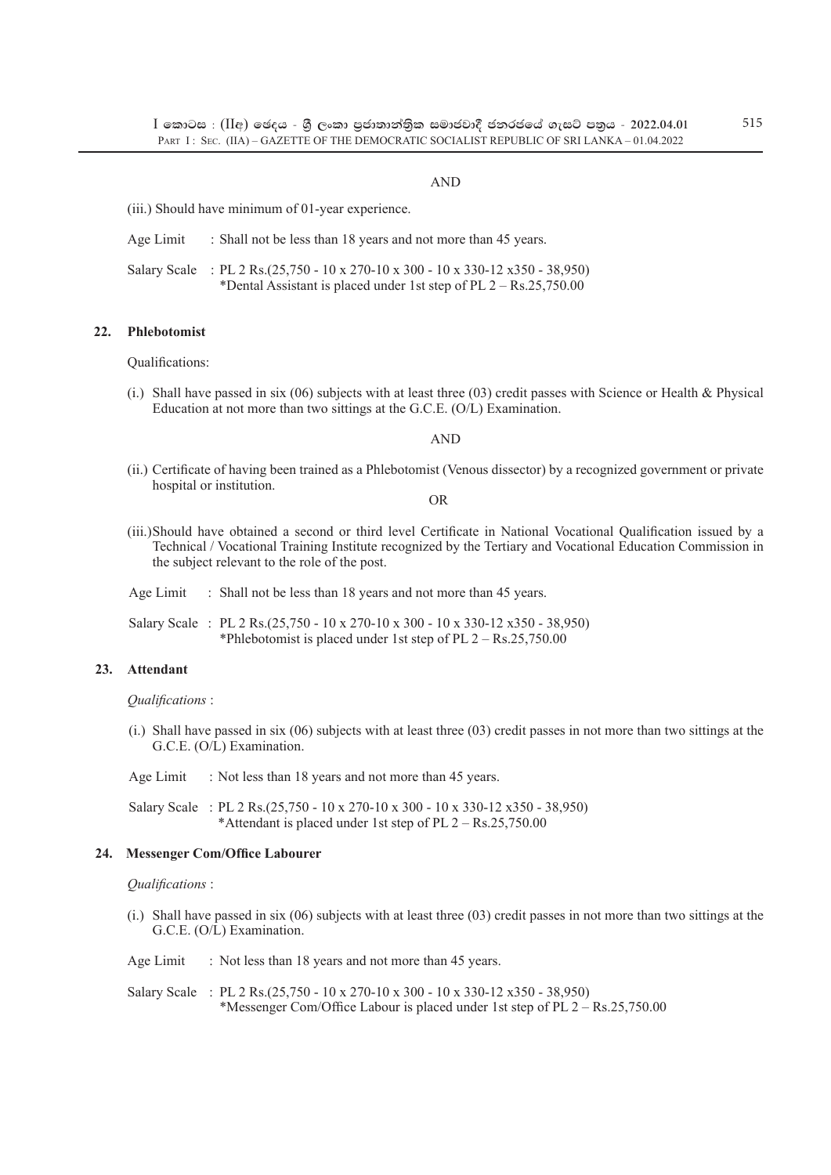## AND

(iii.) Should have minimum of 01-year experience.

Age Limit : Shall not be less than 18 years and not more than 45 years.

Salary Scale : PL 2 Rs.(25,750 - 10 x 270-10 x 300 - 10 x 330-12 x350 - 38,950) \*Dental Assistant is placed under 1st step of PL 2 – Rs.25,750.00

### **22. Phlebotomist**

Qualifications:

(i.) Shall have passed in six (06) subjects with at least three (03) credit passes with Science or Health & Physical Education at not more than two sittings at the G.C.E. (O/L) Examination.

AND

(ii.) Certificate of having been trained as a Phlebotomist (Venous dissector) by a recognized government or private hospital or institution.

**OR** 

- (iii.)Should have obtained a second or third level Certificate in National Vocational Qualification issued by a Technical / Vocational Training Institute recognized by the Tertiary and Vocational Education Commission in the subject relevant to the role of the post.
- Age Limit : Shall not be less than 18 years and not more than 45 years.
- Salary Scale : PL 2 Rs.(25,750 10 x 270-10 x 300 10 x 330-12 x350 38,950) \*Phlebotomist is placed under 1st step of PL 2 – Rs.25,750.00

### **23. Attendant**

*Qualifications* :

- (i.) Shall have passed in six (06) subjects with at least three (03) credit passes in not more than two sittings at the G.C.E. (O/L) Examination.
- Age Limit : Not less than 18 years and not more than 45 years.

Salary Scale : PL 2 Rs.(25,750 - 10 x 270-10 x 300 - 10 x 330-12 x350 - 38,950) \*Attendant is placed under 1st step of PL 2 – Rs.25,750.00

#### **24. Messenger Com/Office Labourer**

#### *Qualifications* :

(i.) Shall have passed in six (06) subjects with at least three (03) credit passes in not more than two sittings at the G.C.E. (O/L) Examination.

Age Limit : Not less than 18 years and not more than 45 years.

Salary Scale : PL 2 Rs.(25,750 - 10 x 270-10 x 300 - 10 x 330-12 x350 - 38,950) \*Messenger Com/Office Labour is placed under 1st step of PL 2 – Rs.25,750.00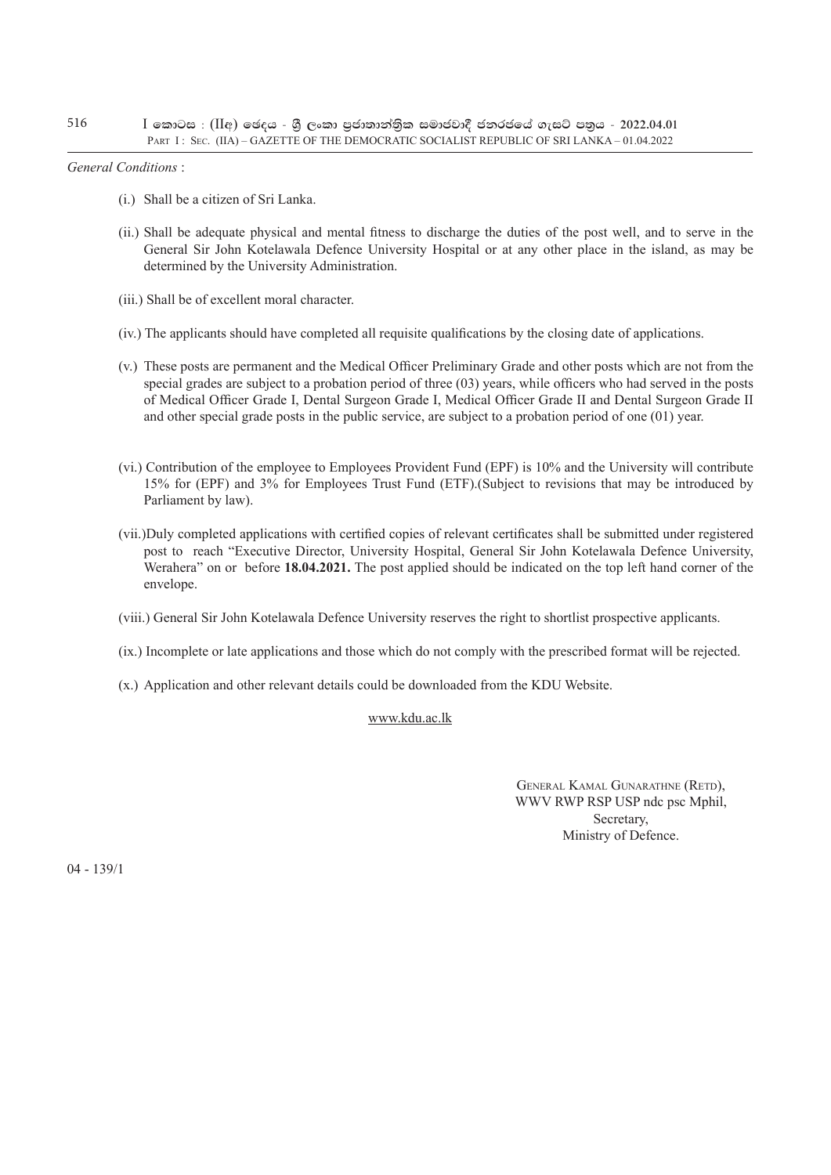*General Conditions* :

- (i.) Shall be a citizen of Sri Lanka.
- (ii.) Shall be adequate physical and mental fitness to discharge the duties of the post well, and to serve in the General Sir John Kotelawala Defence University Hospital or at any other place in the island, as may be determined by the University Administration.
- (iii.) Shall be of excellent moral character.
- (iv.) The applicants should have completed all requisite qualifications by the closing date of applications.
- (v.) These posts are permanent and the Medical Officer Preliminary Grade and other posts which are not from the special grades are subject to a probation period of three (03) years, while officers who had served in the posts of Medical Officer Grade I, Dental Surgeon Grade I, Medical Officer Grade II and Dental Surgeon Grade II and other special grade posts in the public service, are subject to a probation period of one (01) year.
- (vi.) Contribution of the employee to Employees Provident Fund (EPF) is 10% and the University will contribute 15% for (EPF) and 3% for Employees Trust Fund (ETF).(Subject to revisions that may be introduced by Parliament by law).
- (vii.)Duly completed applications with certified copies of relevant certificates shall be submitted under registered post to reach "Executive Director, University Hospital, General Sir John Kotelawala Defence University, Werahera" on or before **18.04.2021.** The post applied should be indicated on the top left hand corner of the envelope.
- (viii.) General Sir John Kotelawala Defence University reserves the right to shortlist prospective applicants.
- (ix.) Incomplete or late applications and those which do not comply with the prescribed format will be rejected.
- (x.) Application and other relevant details could be downloaded from the KDU Website.

## www.kdu.ac.lk

 General Kamal Gunarathne (Retd), WWV RWP RSP USP ndc psc Mphil, Secretary, Ministry of Defence.

04 - 139/1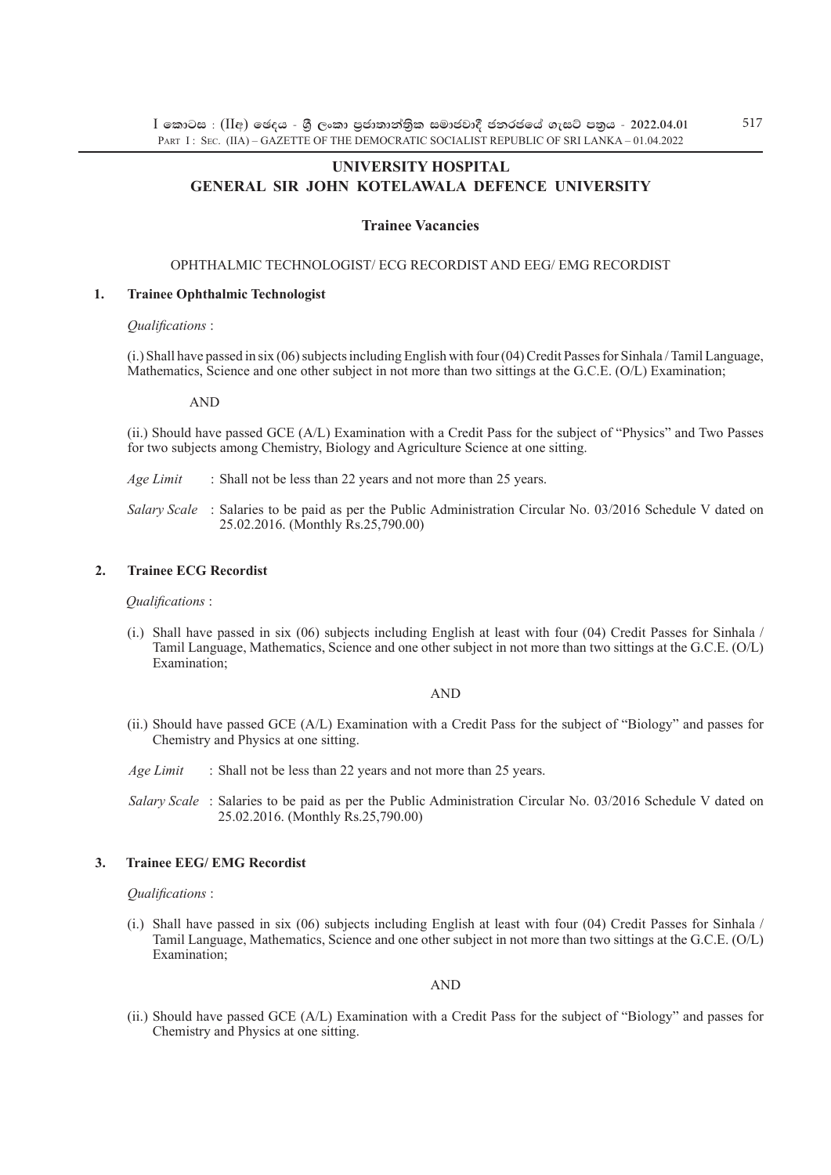## **University hospital general sir john kotelawala defence university**

## **Trainee Vacancies**

## Ophthalmic Technologist/ ECG Recordist and EEG/ EMG Recordist

#### **1. Trainee Ophthalmic Technologist**

#### *Qualifications* :

(i.) Shall have passed in six (06) subjects including English with four (04) Credit Passes for Sinhala / Tamil Language, Mathematics, Science and one other subject in not more than two sittings at the G.C.E. (O/L) Examination;

#### AND

(ii.) Should have passed GCE (A/L) Examination with a Credit Pass for the subject of "Physics" and Two Passes for two subjects among Chemistry, Biology and Agriculture Science at one sitting.

*Age Limit* : Shall not be less than 22 years and not more than 25 years.

*Salary Scale* : Salaries to be paid as per the Public Administration Circular No. 03/2016 Schedule V dated on 25.02.2016. (Monthly Rs.25,790.00)

## **2. Trainee ECG Recordist**

#### *Qualifications* :

(i.) Shall have passed in six (06) subjects including English at least with four (04) Credit Passes for Sinhala / Tamil Language, Mathematics, Science and one other subject in not more than two sittings at the G.C.E. (O/L) Examination;

### AND

(ii.) Should have passed GCE (A/L) Examination with a Credit Pass for the subject of "Biology" and passes for Chemistry and Physics at one sitting.

*Age Limit* : Shall not be less than 22 years and not more than 25 years.

*Salary Scale* : Salaries to be paid as per the Public Administration Circular No. 03/2016 Schedule V dated on 25.02.2016. (Monthly Rs.25,790.00)

## **3. Trainee EEG/ EMG Recordist**

## *Qualifications* :

(i.) Shall have passed in six (06) subjects including English at least with four (04) Credit Passes for Sinhala / Tamil Language, Mathematics, Science and one other subject in not more than two sittings at the G.C.E. (O/L) Examination;

## AND

(ii.) Should have passed GCE (A/L) Examination with a Credit Pass for the subject of "Biology" and passes for Chemistry and Physics at one sitting.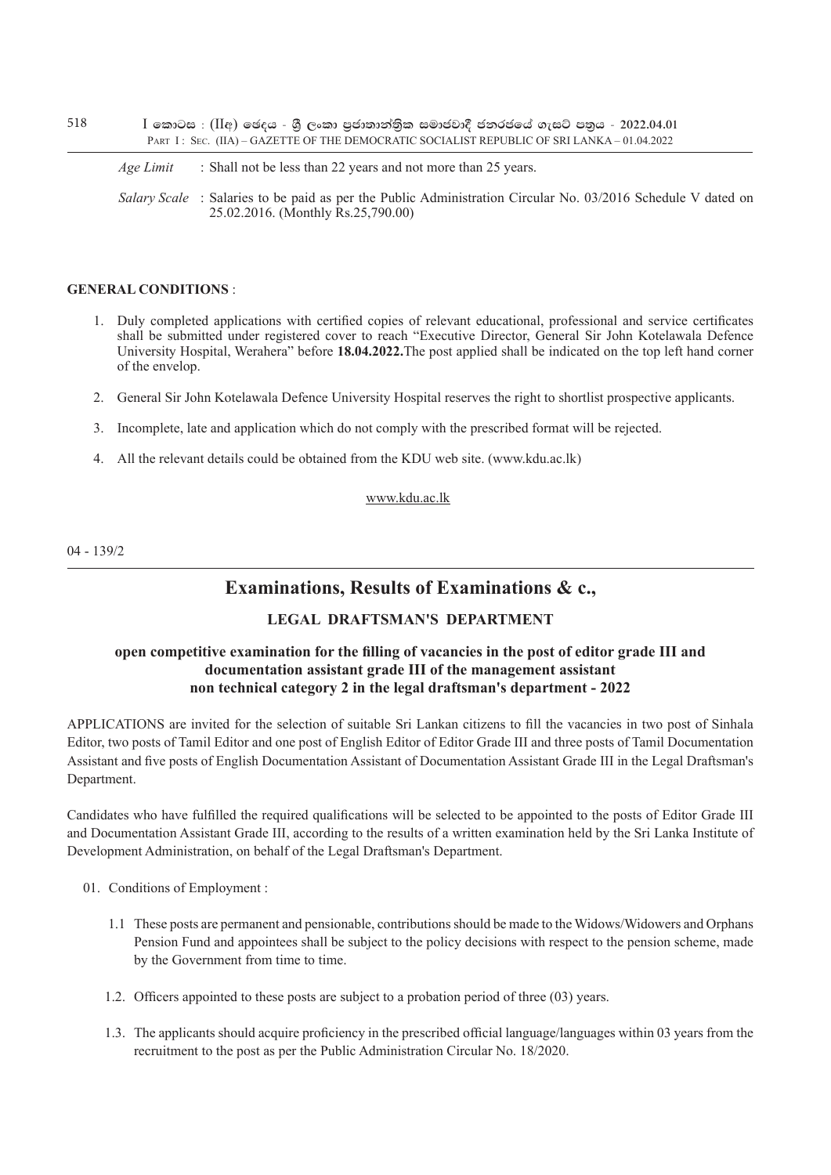$I$  කොටස : ( $II$ අ) ඡෙදය - ශීූ ලංකා පුජාතාන්තිුක සමාජවාදී ජනරජයේ ගැසට් පතුය - 2022.04.01 PART I : SEC. (IIA) – GAZETTE OF THE DEMOCRATIC SOCIALIST REPUBLIC OF SRI LANKA – 01.04.2022

*Age Limit* : Shall not be less than 22 years and not more than 25 years.

*Salary Scale* : Salaries to be paid as per the Public Administration Circular No. 03/2016 Schedule V dated on 25.02.2016. (Monthly Rs.25,790.00)

## **GENERAL CONDITIONS** :

- 1. Duly completed applications with certified copies of relevant educational, professional and service certificates shall be submitted under registered cover to reach "Executive Director, General Sir John Kotelawala Defence University Hospital, Werahera" before **18.04.2022.**The post applied shall be indicated on the top left hand corner of the envelop.
- 2. General Sir John Kotelawala Defence University Hospital reserves the right to shortlist prospective applicants.
- 3. Incomplete, late and application which do not comply with the prescribed format will be rejected.
- 4. All the relevant details could be obtained from the KDU web site. (www.kdu.ac.lk)

## www.kdu.ac.lk

04 - 139/2

## **Examinations, Results of Examinations & c.,**

## **legal draftsman's department**

## **open competitive examination for the filling of vacancies in the post of editor grade III and documentation assistant grade III of the management assistant non technical category 2 in the legal draftsman's department - 2022**

applications are invited for the selection of suitable Sri Lankan citizens to fill the vacancies in two post of Sinhala Editor, two posts of Tamil Editor and one post of English Editor of Editor Grade III and three posts of Tamil Documentation Assistant and five posts of English Documentation Assistant of Documentation Assistant Grade III in the Legal Draftsman's Department.

Candidates who have fulfilled the required qualifications will be selected to be appointed to the posts of Editor Grade III and Documentation Assistant Grade III, according to the results of a written examination held by the Sri Lanka Institute of Development Administration, on behalf of the Legal Draftsman's Department.

- 01. Conditions of Employment :
	- 1.1 These posts are permanent and pensionable, contributions should be made to the Widows/Widowers and Orphans Pension Fund and appointees shall be subject to the policy decisions with respect to the pension scheme, made by the Government from time to time.
	- 1.2. Officers appointed to these posts are subject to a probation period of three (03) years.
	- 1.3. The applicants should acquire proficiency in the prescribed official language/languages within 03 years from the recruitment to the post as per the Public Administration Circular No. 18/2020.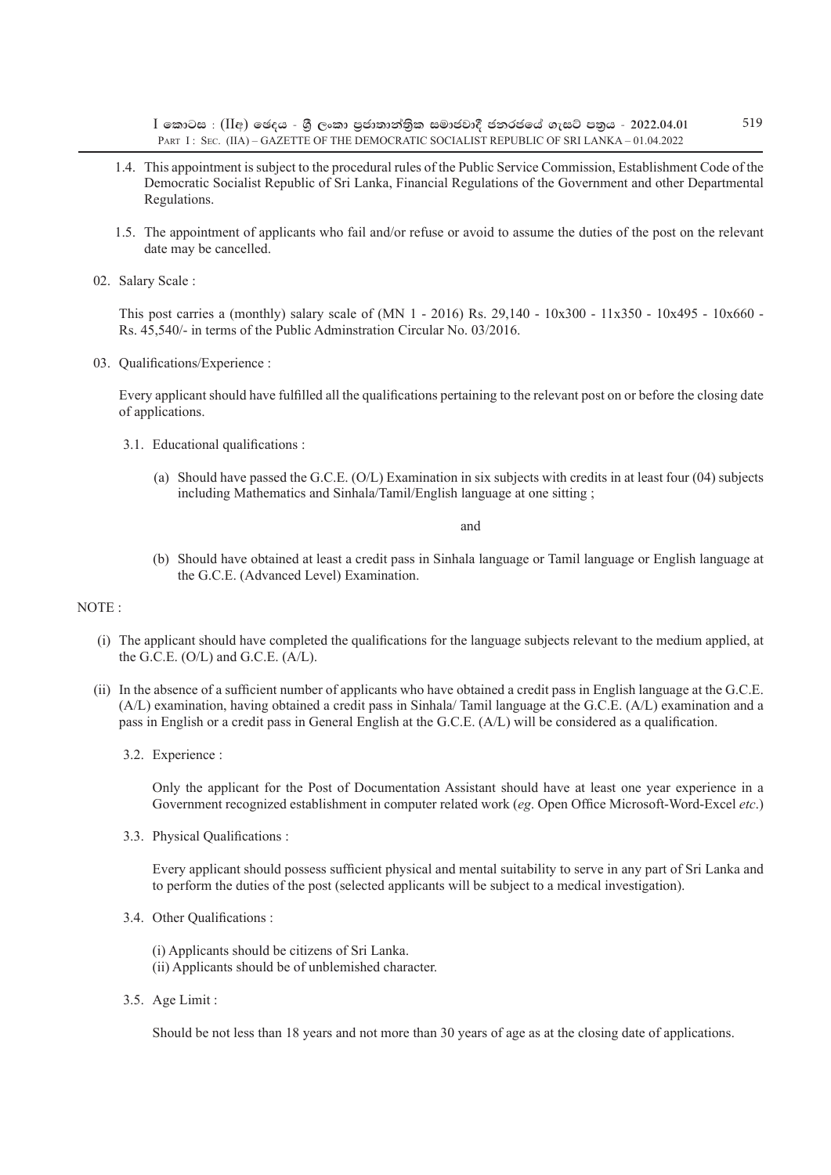$I$  කොටස : (IIඅ) ඡෙදය - ශී ලංකා පුජාතාන්තික සමාජවාදී ජනරජයේ ගැසට් පතුය - 2022.04.01 PART I : SEC. (IIA) – GAZETTE OF THE DEMOCRATIC SOCIALIST REPUBLIC OF SRI LANKA – 01.04.2022

- 1.4. This appointment is subject to the procedural rules of the Public Service Commission, Establishment Code of the Democratic Socialist Republic of Sri Lanka, Financial Regulations of the Government and other Departmental Regulations.
- 1.5. The appointment of applicants who fail and/or refuse or avoid to assume the duties of the post on the relevant date may be cancelled.
- 02. Salary Scale :

This post carries a (monthly) salary scale of (MN 1 - 2016) Rs. 29,140 - 10x300 - 11x350 - 10x495 - 10x660 - Rs. 45,540/- in terms of the Public Adminstration Circular No. 03/2016.

03. Qualifications/Experience :

Every applicant should have fulfilled all the qualifications pertaining to the relevant post on or before the closing date of applications.

- 3.1. Educational qualifications :
	- (a) Should have passed the G.C.E. (O/L) Examination in six subjects with credits in at least four (04) subjects including Mathematics and Sinhala/Tamil/English language at one sitting ;

#### and

(b) Should have obtained at least a credit pass in Sinhala language or Tamil language or English language at the G.C.E. (Advanced Level) Examination.

#### NOTE :

- (i) The applicant should have completed the qualifications for the language subjects relevant to the medium applied, at the G.C.E. (O/L) and G.C.E. (A/L).
- (ii) In the absence of a sufficient number of applicants who have obtained a credit pass in English language at the G.C.E. (A/L) examination, having obtained a credit pass in Sinhala/ Tamil language at the G.C.E. (A/L) examination and a pass in English or a credit pass in General English at the G.C.E. (A/L) will be considered as a qualification.
	- 3.2. Experience :

Only the applicant for the Post of Documentation Assistant should have at least one year experience in a Government recognized establishment in computer related work (*eg*. Open Office Microsoft-Word-Excel *etc*.)

3.3. Physical Qualifications :

Every applicant should possess sufficient physical and mental suitability to serve in any part of Sri Lanka and to perform the duties of the post (selected applicants will be subject to a medical investigation).

- 3.4. Other Qualifications :
	- (i) Applicants should be citizens of Sri Lanka.
	- (ii) Applicants should be of unblemished character.
- 3.5. Age Limit :

Should be not less than 18 years and not more than 30 years of age as at the closing date of applications.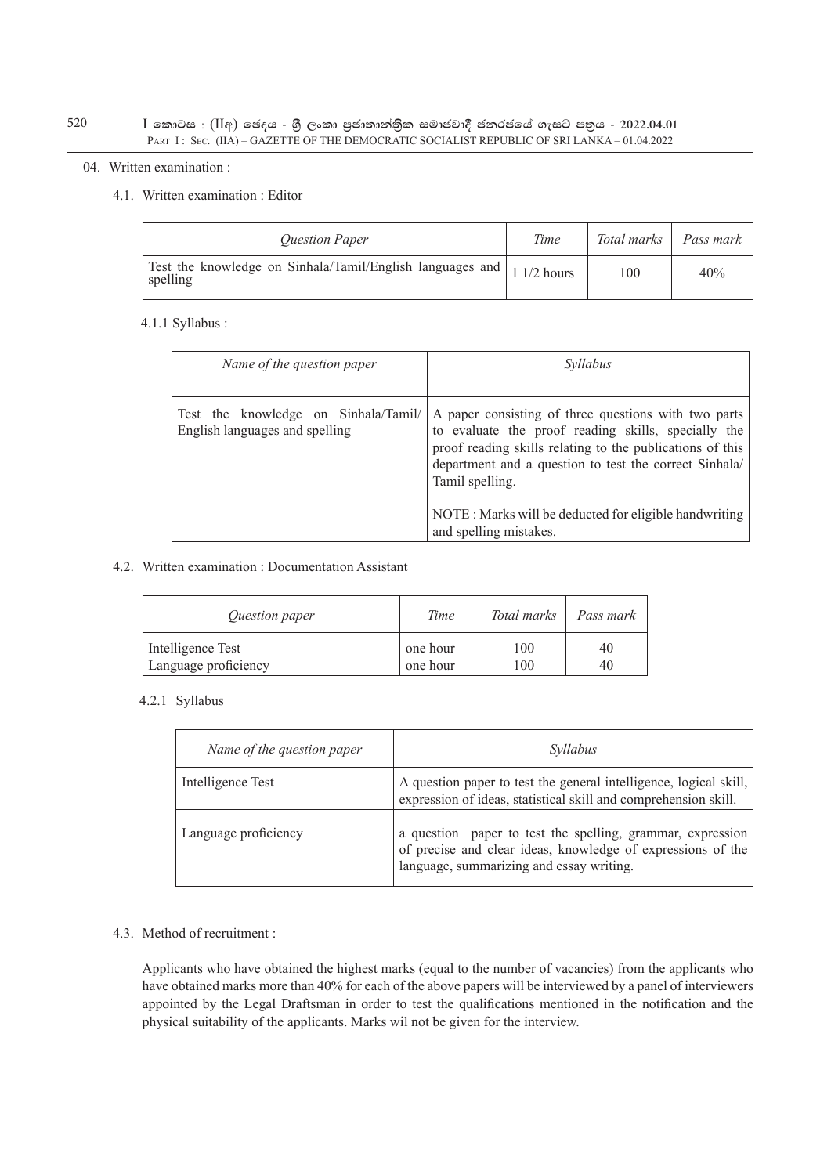## $I$  කොටස : (IIඅ) ඡෙදය - ශුී ලංකා පුජාතාන්තිුක සමාජවාදී ජනරජයේ ගැසට් පතුය - 2022.04.01 PART I : SEC. (IIA) – GAZETTE OF THE DEMOCRATIC SOCIALIST REPUBLIC OF SRI LANKA – 01.04.2022

### 04. Written examination :

## 4.1. Written examination : Editor

| <b>Ouestion Paper</b>                                                               | Time | Total marks | Pass mark |
|-------------------------------------------------------------------------------------|------|-------------|-----------|
| Test the knowledge on Sinhala/Tamil/English languages and   1 1/2 hours<br>spelling |      | 100         | 40%       |

## 4.1.1 Syllabus :

| Name of the question paper                                             | Svllabus                                                                                                                                                                                                                                                                                                       |
|------------------------------------------------------------------------|----------------------------------------------------------------------------------------------------------------------------------------------------------------------------------------------------------------------------------------------------------------------------------------------------------------|
| Test the knowledge on Sinhala/Tamil/<br>English languages and spelling | A paper consisting of three questions with two parts<br>to evaluate the proof reading skills, specially the<br>proof reading skills relating to the publications of this<br>department and a question to test the correct Sinhala/<br>Tamil spelling.<br>NOTE: Marks will be deducted for eligible handwriting |
|                                                                        | and spelling mistakes.                                                                                                                                                                                                                                                                                         |

## 4.2. Written examination : Documentation Assistant

| <i><u>Ouestion paper</u></i> | Time     | Total marks | Pass mark |
|------------------------------|----------|-------------|-----------|
| Intelligence Test            | one hour | 100         | 40        |
| Language proficiency         | one hour | 100         | 40        |

## 4.2.1 Syllabus

| Name of the question paper | Syllabus                                                                                                                                                              |
|----------------------------|-----------------------------------------------------------------------------------------------------------------------------------------------------------------------|
| Intelligence Test          | A question paper to test the general intelligence, logical skill,<br>expression of ideas, statistical skill and comprehension skill.                                  |
| Language proficiency       | a question paper to test the spelling, grammar, expression<br>of precise and clear ideas, knowledge of expressions of the<br>language, summarizing and essay writing. |

## 4.3. Method of recruitment :

Applicants who have obtained the highest marks (equal to the number of vacancies) from the applicants who have obtained marks more than 40% for each of the above papers will be interviewed by a panel of interviewers appointed by the Legal Draftsman in order to test the qualifications mentioned in the notification and the physical suitability of the applicants. Marks wil not be given for the interview.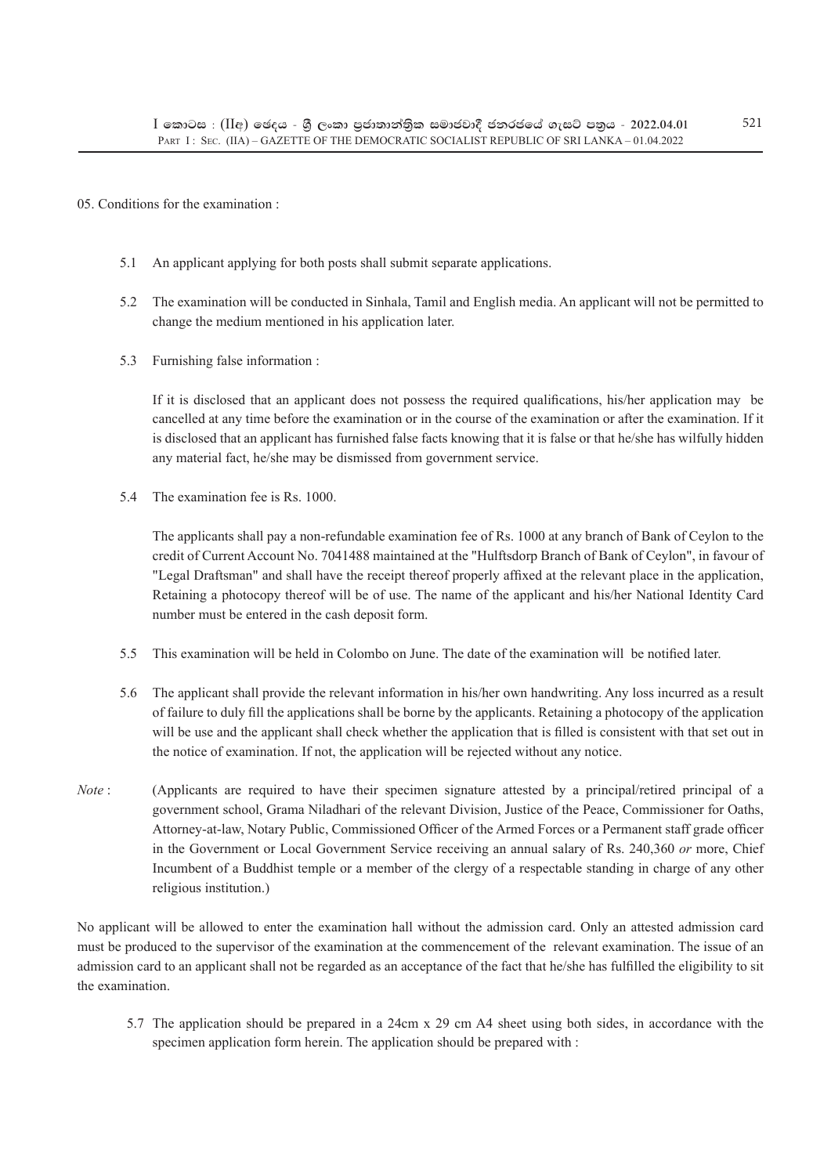## 05. Conditions for the examination :

- 5.1 An applicant applying for both posts shall submit separate applications.
- 5.2 The examination will be conducted in Sinhala, Tamil and English media. An applicant will not be permitted to change the medium mentioned in his application later.
- 5.3 Furnishing false information :

If it is disclosed that an applicant does not possess the required qualifications, his/her application may be cancelled at any time before the examination or in the course of the examination or after the examination. If it is disclosed that an applicant has furnished false facts knowing that it is false or that he/she has wilfully hidden any material fact, he/she may be dismissed from government service.

5.4 The examination fee is Rs. 1000.

The applicants shall pay a non-refundable examination fee of Rs. 1000 at any branch of Bank of Ceylon to the credit of Current Account No. 7041488 maintained at the "Hulftsdorp Branch of Bank of Ceylon", in favour of "Legal Draftsman" and shall have the receipt thereof properly affixed at the relevant place in the application, Retaining a photocopy thereof will be of use. The name of the applicant and his/her National Identity Card number must be entered in the cash deposit form.

- 5.5 This examination will be held in Colombo on June. The date of the examination will be notified later.
- 5.6 The applicant shall provide the relevant information in his/her own handwriting. Any loss incurred as a result of failure to duly fill the applications shall be borne by the applicants. Retaining a photocopy of the application will be use and the applicant shall check whether the application that is filled is consistent with that set out in the notice of examination. If not, the application will be rejected without any notice.
- *Note*: (Applicants are required to have their specimen signature attested by a principal/retired principal of a government school, Grama Niladhari of the relevant Division, Justice of the Peace, Commissioner for Oaths, Attorney-at-law, Notary Public, Commissioned Officer of the Armed Forces or a Permanent staff grade officer in the Government or Local Government Service receiving an annual salary of Rs. 240,360 *or* more, Chief Incumbent of a Buddhist temple or a member of the clergy of a respectable standing in charge of any other religious institution.)

No applicant will be allowed to enter the examination hall without the admission card. Only an attested admission card must be produced to the supervisor of the examination at the commencement of the relevant examination. The issue of an admission card to an applicant shall not be regarded as an acceptance of the fact that he/she has fulfilled the eligibility to sit the examination.

5.7 The application should be prepared in a 24cm x 29 cm A4 sheet using both sides, in accordance with the specimen application form herein. The application should be prepared with :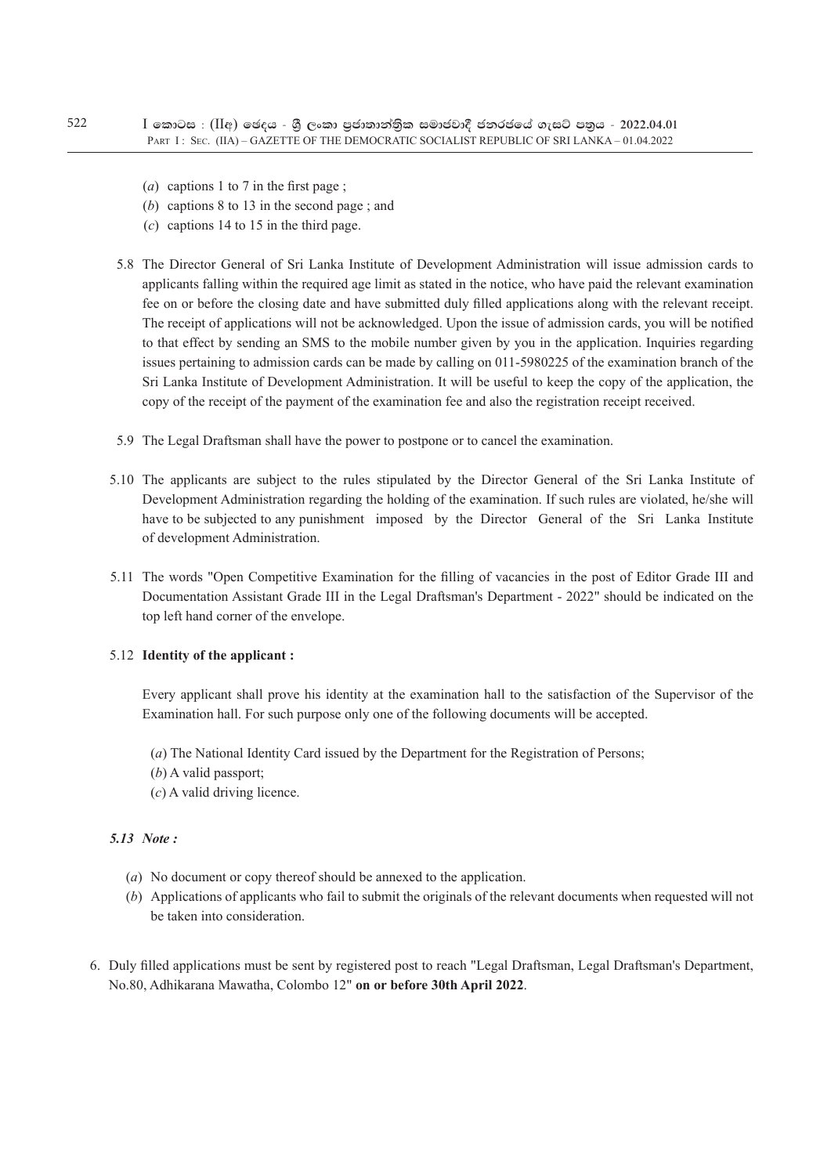- (*a*) captions 1 to 7 in the first page ;
- (*b*) captions 8 to 13 in the second page ; and
- (*c*) captions 14 to 15 in the third page.
- 5.8 The Director General of Sri Lanka Institute of Development Administration will issue admission cards to applicants falling within the required age limit as stated in the notice, who have paid the relevant examination fee on or before the closing date and have submitted duly filled applications along with the relevant receipt. The receipt of applications will not be acknowledged. Upon the issue of admission cards, you will be notified to that effect by sending an SMS to the mobile number given by you in the application. Inquiries regarding issues pertaining to admission cards can be made by calling on 011-5980225 of the examination branch of the Sri Lanka Institute of Development Administration. It will be useful to keep the copy of the application, the copy of the receipt of the payment of the examination fee and also the registration receipt received.
- 5.9 The Legal Draftsman shall have the power to postpone or to cancel the examination.
- 5.10 The applicants are subject to the rules stipulated by the Director General of the Sri Lanka Institute of Development Administration regarding the holding of the examination. If such rules are violated, he/she will have to be subjected to any punishment imposed by the Director General of the Sri Lanka Institute of development Administration.
- 5.11 The words "Open Competitive Examination for the filling of vacancies in the post of Editor Grade III and Documentation Assistant Grade III in the Legal Draftsman's Department - 2022" should be indicated on the top left hand corner of the envelope.

## 5.12 **Identity of the applicant :**

Every applicant shall prove his identity at the examination hall to the satisfaction of the Supervisor of the Examination hall. For such purpose only one of the following documents will be accepted.

- (*a*) The National Identity Card issued by the Department for the Registration of Persons;
- (*b*) A valid passport;
- (*c*) A valid driving licence.

## *5.13 Note :*

- (*a*) No document or copy thereof should be annexed to the application.
- (*b*) Applications of applicants who fail to submit the originals of the relevant documents when requested will not be taken into consideration.
- 6. Duly filled applications must be sent by registered post to reach "Legal Draftsman, Legal Draftsman's Department, No.80, Adhikarana Mawatha, Colombo 12" **on or before 30th April 2022**.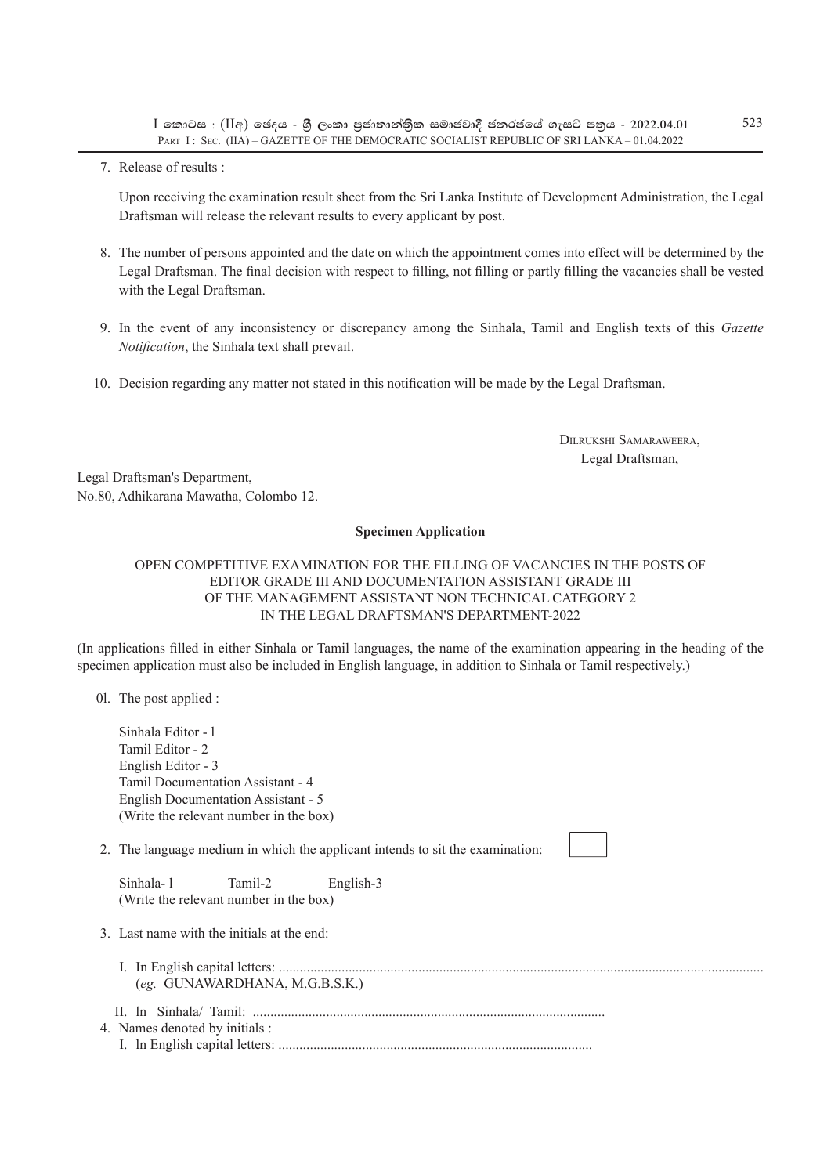$I$  කොටස : (IIඅ) ඡෙදය - ශී ලංකා පුජාතාන්තික සමාජවාදී ජනරජයේ ගැසට් පතුය - 2022.04.01 PART I : SEC. (IIA) – GAZETTE OF THE DEMOCRATIC SOCIALIST REPUBLIC OF SRI LANKA – 01.04.2022

7. Release of results :

Upon receiving the examination result sheet from the Sri Lanka Institute of Development Administration, the Legal Draftsman will release the relevant results to every applicant by post.

- 8. The number of persons appointed and the date on which the appointment comes into effect will be determined by the Legal Draftsman. The final decision with respect to filling, not filling or partly filling the vacancies shall be vested with the Legal Draftsman.
- 9. In the event of any inconsistency or discrepancy among the Sinhala, Tamil and English texts of this *Gazette Notification*, the Sinhala text shall prevail.
- 10. Decision regarding any matter not stated in this notification will be made by the Legal Draftsman.

Dilrukshi Samaraweera, Legal Draftsman,

Legal Draftsman's Department, No.80, Adhikarana Mawatha, Colombo 12.

#### **Specimen Application**

## OPEN COMPETITIVE EXAMINATION FOR THE FILLING OF VACANCIES IN THE POSTS OF EDITOR GRADE III AND DOCUMENTATION ASSISTANT GRADE III OF THE MANAGEMENT ASSISTANT NON TECHNICAL CATEGORY 2 IN THE LEGAL DRAFTSMAN'S DEPARTMENT-2022

(In applications filled in either Sinhala or Tamil languages, the name of the examination appearing in the heading of the specimen application must also be included in English language, in addition to Sinhala or Tamil respectively.)

0l. The post applied :

Sinhala Editor - l Tamil Editor - 2 English Editor - 3 Tamil Documentation Assistant - 4 English Documentation Assistant - 5 (Write the relevant number in the box)

2. The language medium in which the applicant intends to sit the examination:

| Sinhala-1 | Tamil-2                                | English-3 |
|-----------|----------------------------------------|-----------|
|           | (Write the relevant number in the box) |           |

- 3. Last name with the initials at the end:
	- I. In English capital letters: ........................................................................................................................................... (*eg.* GUNAWARDHANA, M.G.B.S.K.)
- II. ln Sinhala/ Tamil: .....................................................................................................
- 4. Names denoted by initials : I. ln English capital letters: ..........................................................................................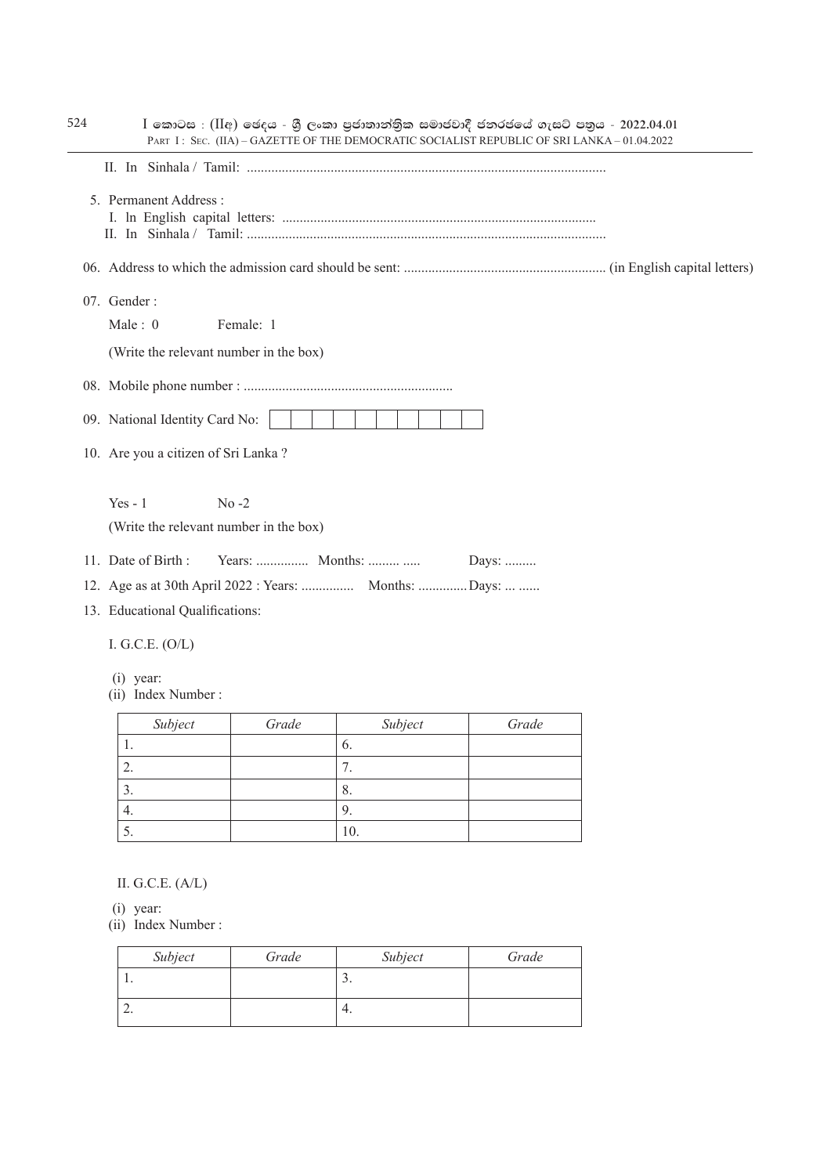| 5. Permanent Address:                                              |           |                                                       |       |  |
|--------------------------------------------------------------------|-----------|-------------------------------------------------------|-------|--|
|                                                                    |           |                                                       |       |  |
| 07. Gender:<br>Male: $0$<br>(Write the relevant number in the box) | Female: 1 |                                                       |       |  |
|                                                                    |           |                                                       |       |  |
| 09. National Identity Card No:                                     |           |                                                       |       |  |
| 10. Are you a citizen of Sri Lanka?                                |           |                                                       |       |  |
| $Yes - 1$<br>(Write the relevant number in the box)                | $No -2$   |                                                       |       |  |
| 11. Date of Birth:                                                 |           |                                                       | Days: |  |
|                                                                    |           | 12. Age as at 30th April 2022 : Years:  Months: Days: |       |  |
| 13. Educational Qualifications:                                    |           |                                                       |       |  |
| I. G.C.E. $(O/L)$                                                  |           |                                                       |       |  |
| $(i)$ year:<br>(ii) Index Number:                                  |           |                                                       |       |  |
| Subject                                                            | Grade     | Subject                                               | Grade |  |
|                                                                    |           | 6.                                                    |       |  |
| 1.                                                                 |           |                                                       |       |  |
| 2.                                                                 |           | 7.                                                    |       |  |
| 3.                                                                 |           | 8.                                                    |       |  |
| 4.<br>5.                                                           |           | 9.<br>10.                                             |       |  |

| Subject | Grade | Subject  | Grade |
|---------|-------|----------|-------|
|         |       | <u>.</u> |       |
| ∼.      |       | 4.       |       |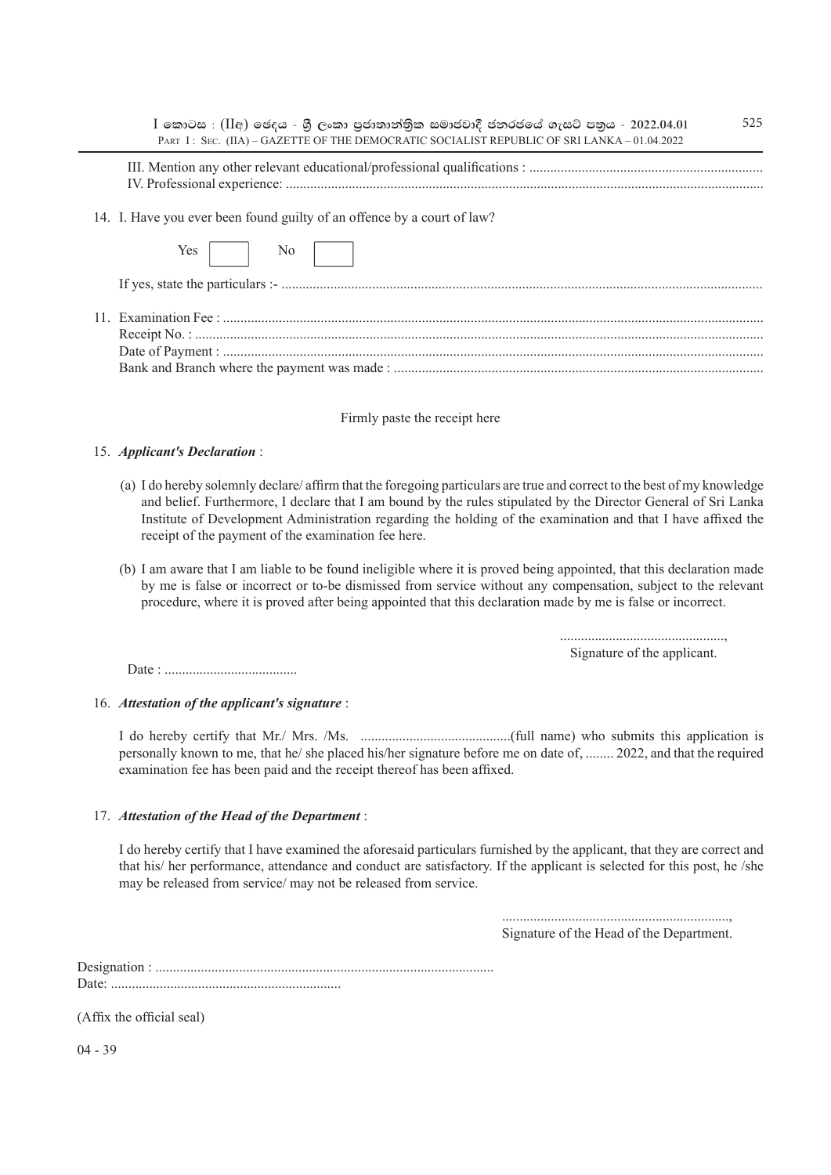| 525<br>$I$ කොටස : $(II$ අ) ඡෙදය - ශුී ලංකා පුජාතාන්තිුක සමාජවාදී ජනරජයේ ගැසට් පතුය - 2022.04.01<br>PART I: SEC. (IIA) - GAZETTE OF THE DEMOCRATIC SOCIALIST REPUBLIC OF SRI LANKA - 01.04.2022                                                                                                                                                                                                                     |
|--------------------------------------------------------------------------------------------------------------------------------------------------------------------------------------------------------------------------------------------------------------------------------------------------------------------------------------------------------------------------------------------------------------------|
|                                                                                                                                                                                                                                                                                                                                                                                                                    |
| 14. I. Have you ever been found guilty of an offence by a court of law?                                                                                                                                                                                                                                                                                                                                            |
| N <sub>0</sub><br>Yes                                                                                                                                                                                                                                                                                                                                                                                              |
|                                                                                                                                                                                                                                                                                                                                                                                                                    |
|                                                                                                                                                                                                                                                                                                                                                                                                                    |
| Firmly paste the receipt here                                                                                                                                                                                                                                                                                                                                                                                      |
| 15. Applicant's Declaration:                                                                                                                                                                                                                                                                                                                                                                                       |
| (a) I do hereby solemnly declare/ affirm that the foregoing particulars are true and correct to the best of my knowledge<br>and belief. Furthermore, I declare that I am bound by the rules stipulated by the Director General of Sri Lanka<br>Institute of Development Administration regarding the holding of the examination and that I have affixed the<br>receipt of the payment of the examination fee here. |
| (b) I am aware that I am liable to be found ineligible where it is proved being appointed, that this declaration made<br>by me is false or incorrect or to-be dismissed from service without any compensation, subject to the relevant<br>procedure, where it is proved after being appointed that this declaration made by me is false or incorrect.                                                              |
| Signature of the applicant.                                                                                                                                                                                                                                                                                                                                                                                        |
|                                                                                                                                                                                                                                                                                                                                                                                                                    |
| 16. Attestation of the applicant's signature :                                                                                                                                                                                                                                                                                                                                                                     |
| personally known to me, that he/ she placed his/her signature before me on date of,  2022, and that the required<br>examination fee has been paid and the receipt thereof has been affixed.                                                                                                                                                                                                                        |
| 17. Attestation of the Head of the Department:                                                                                                                                                                                                                                                                                                                                                                     |
| I do hereby certify that I have examined the aforesaid particulars furnished by the applicant, that they are correct and<br>that his/ her performance, attendance and conduct are satisfactory. If the applicant is selected for this post, he /she<br>may be released from service/ may not be released from service.                                                                                             |
|                                                                                                                                                                                                                                                                                                                                                                                                                    |

Signature of the Head of the Department.

Designation : ................................................................................................. Date: ..................................................................

(Affix the official seal)

04 - 39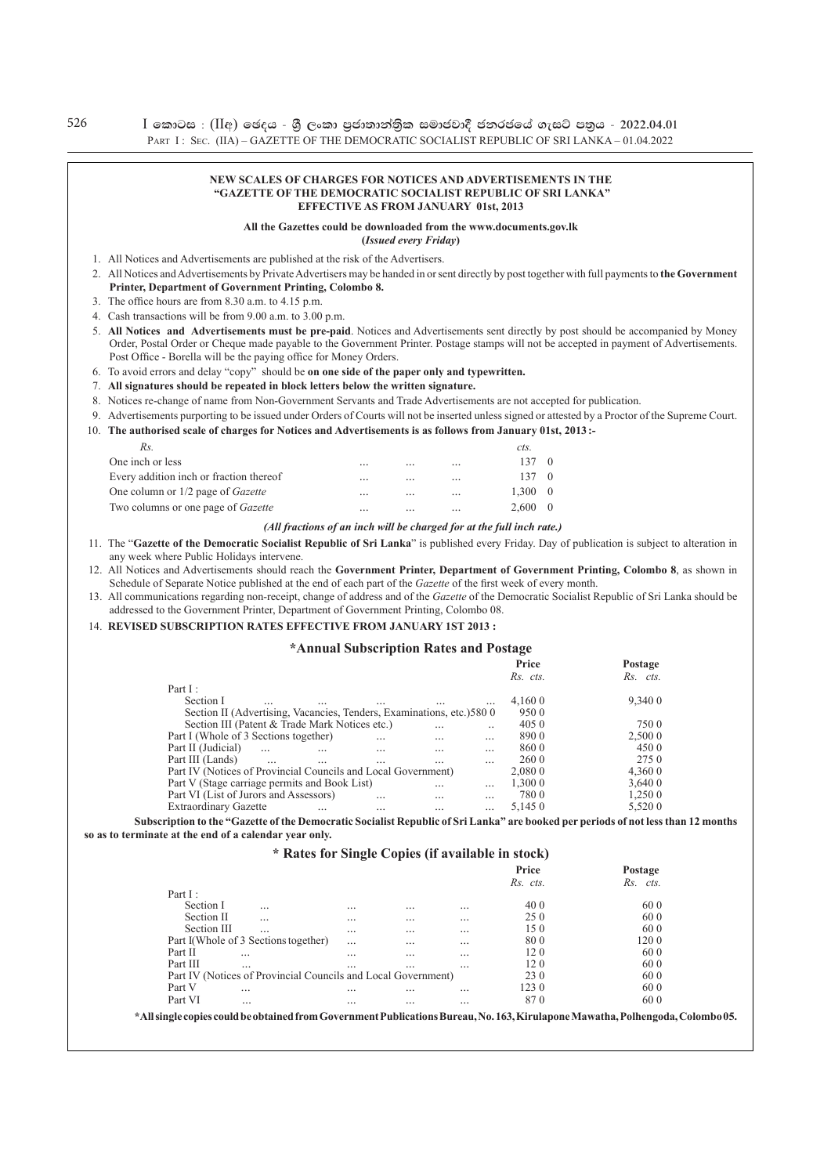$I$  කොටස : (IIඅ) ඡෙදය - ශී ලංකා පුජාතාන්තික සමාජවාදී ජනරජයේ ගැසට් පතුය - 2022.04.01 PART I: SEC. (IIA) – GAZETTE OF THE DEMOCRATIC SOCIALIST REPUBLIC OF SRI LANKA – 01.04.2022

#### **NEW SCALES OF CHARGES FOR NOTICES AND ADVERTISEMENTS IN THE "GAZETTE OF THE DEMOCRATIC SOCIALIST REPUBLIC OF SRI LANKA" EFFECTIVE AS FROM JANUARY 01st, 2013**

#### **All the Gazettes could be downloaded from the www.documents.gov.lk**

**(***Issued every Friday***)**

- 1. All Notices and Advertisements are published at the risk of the Advertisers.
- 2. All Notices and Advertisements by Private Advertisers may be handed in or sent directly by post together with full payments to **the Government Printer, Department of Government Printing, Colombo 8.**
- 3. The office hours are from 8.30 a.m. to 4.15 p.m.
- 4. Cash transactions will be from 9.00 a.m. to 3.00 p.m.
- 5. **All Notices and Advertisements must be pre-paid**. Notices and Advertisements sent directly by post should be accompanied by Money order, Postal Order or Cheque made payable to the Government Printer. Postage stamps will not be accepted in payment of Advertisements. Post Office - Borella will be the paying office for Money Orders.
- 6. To avoid errors and delay "copy" should be **on one side of the paper only and typewritten.**
- 7. **All signatures should be repeated in block letters below the written signature.**
- 8. Notices re-change of name from Non-Government Servants and Trade Advertisements are not accepted for publication.
- 9. Advertisements purporting to be issued under Orders of Courts will not be inserted unless signed or attested by a Proctor of the Supreme Court.
- 10. **The authorised scale of charges for Notices and Advertisements is as follows from January 01st, 2013 :-**

| Rs.                                       |          |           |           | cts.   |  |
|-------------------------------------------|----------|-----------|-----------|--------|--|
| One inch or less                          | $\cdots$ | $\cdots$  | $\cdots$  | 137    |  |
| Every addition inch or fraction thereof   | $\cdots$ | $\cdots$  | $\cdots$  | 137    |  |
| One column or 1/2 page of <i>Gazette</i>  | $\cdots$ | $\ddotsc$ | $\cdots$  | l.300- |  |
| Two columns or one page of <i>Gazette</i> | $\cdots$ | $\cdots$  | $\ddotsc$ | 2.600  |  |
|                                           |          |           |           |        |  |

#### *(All fractions of an inch will be charged for at the full inch rate.)*

- 11. The "**Gazette of the Democratic Socialist Republic of Sri Lanka**" is published every Friday. Day of publication is subject to alteration in any week where Public Holidays intervene.
- 12. All Notices and Advertisements should reach the **Government Printer, Department of Government Printing, Colombo 8**, as shown in schedule of Separate Notice published at the end of each part of the *Gazette* of the first week of every month.
- 13. All communications regarding non-receipt, change of address and of the *Gazette* of the Democratic Socialist Republic of Sri Lanka should be addressed to the Government Printer, Department of Government Printing, Colombo 08.
- 14. **Revised subscription rates effective from JANUARY 1st 2013 :**

#### **\*Annual Subscription Rates and Postage**

|                                                                        |          | Price        | Postage     |  |
|------------------------------------------------------------------------|----------|--------------|-------------|--|
|                                                                        |          | Rs. cts.     | Rs.<br>cts. |  |
| Part $I$ :                                                             |          |              |             |  |
| Section I<br>.<br>.                                                    | $\cdots$ | 4.160 0      | 9,340 0     |  |
| Section II (Advertising, Vacancies, Tenders, Examinations, etc.) 580 0 |          | 9500         |             |  |
| Section III (Patent & Trade Mark Notices etc.)                         |          | 405 0        | 7500        |  |
| Part I (Whole of 3 Sections together)<br><br>$\ddotsc$                 |          | 8900         | 2,500 0     |  |
| Part II (Judicial)<br>$\cdots$<br>$\ddotsc$<br>$\cdots$<br>            |          | 8600         | 450 0       |  |
| Part III (Lands)<br>$\cdots$<br>$\cdots$<br><br>                       |          | <b>260 0</b> | 2750        |  |
| Part IV (Notices of Provincial Councils and Local Government)          |          | 2.080 0      | 4,360 0     |  |
| Part V (Stage carriage permits and Book List)<br>$\cdots$              |          | 1,300 0      | 3.640 0     |  |
| Part VI (List of Jurors and Assessors)<br>$\cdot \cdot$<br>$\cdots$    |          | 7800         | 1,250 0     |  |
| <b>Extraordinary Gazette</b><br>.<br>                                  | .        | 5,145 0      | 5,520 0     |  |
|                                                                        |          |              |             |  |

**Subscription to the "Gazette of the Democratic Socialist Republic of Sri Lanka" are booked per periods of not less than 12 months so as to terminate at the end of a calendar year only.**

|  |  |  |  | * Rates for Single Copies (if available in stock) |
|--|--|--|--|---------------------------------------------------|
|--|--|--|--|---------------------------------------------------|

|             |                                                               |          |          |          | Price    | Postage  |
|-------------|---------------------------------------------------------------|----------|----------|----------|----------|----------|
|             |                                                               |          |          |          | Rs. cts. | Rs. cts. |
| Part I:     |                                                               |          |          |          |          |          |
| Section I   |                                                               | $\cdots$ | $\cdots$ | $\cdots$ | 40 0     | 60 0     |
| Section II  | $\cdots$                                                      | $\cdots$ | $\cdots$ | $\cdots$ | 250      | 60 0     |
| Section III | $\cdots$                                                      | $\cdots$ | $\cdots$ | $\cdots$ | 150      | 60 0     |
|             | Part I(Whole of 3 Sections together)                          |          | $\cdots$ | $\cdots$ | 800      | 1200     |
| Part II     | $\ddotsc$                                                     |          | $\cdots$ | $\cdots$ | 120      | 60 0     |
| Part III    | $\cdot \cdot$                                                 | $\cdots$ |          | $\cdots$ | 12 0     | 60 0     |
|             | Part IV (Notices of Provincial Councils and Local Government) |          |          |          | 230      | 60 0     |
| Part V      | .                                                             |          |          | $\cdots$ | 1230     | 60 0     |
| Part VI     | $\cdots$                                                      | $\cdots$ | $\cdots$ | $\cdots$ | 870      | 60 0     |